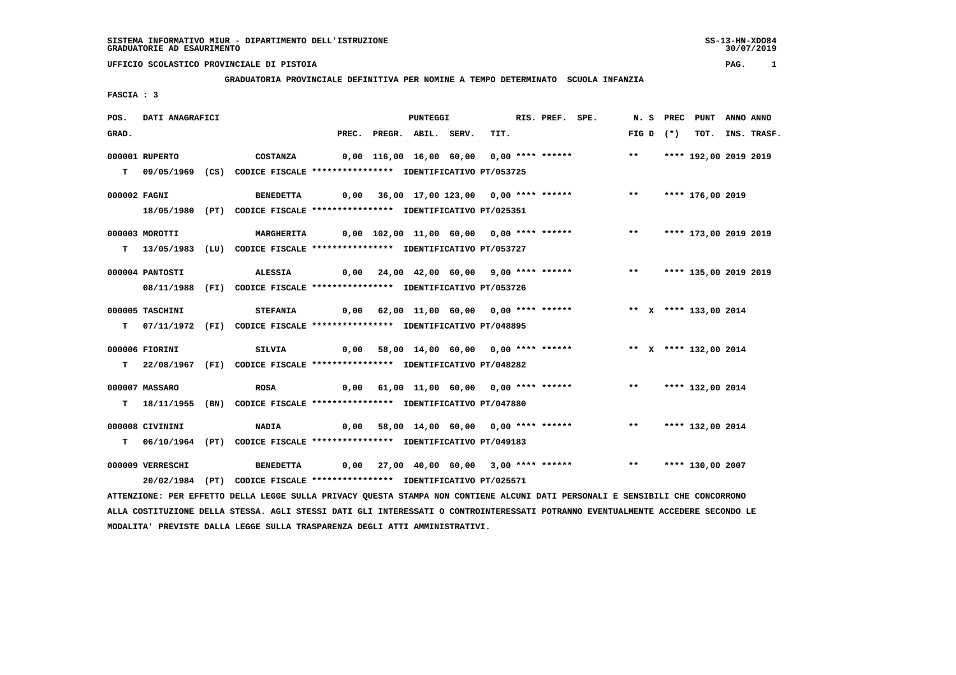30/07/2019

# **UFFICIO SCOLASTICO PROVINCIALE DI PISTOIA PAG. 1**

 **GRADUATORIA PROVINCIALE DEFINITIVA PER NOMINE A TEMPO DETERMINATO SCUOLA INFANZIA**

 **FASCIA : 3**

| POS.  | DATI ANAGRAFICI  |                                                                                       |                                                                        | <b>PUNTEGGI</b>          |                                         | RIS. PREF. SPE. |                                                                  |  |             | N. S PREC PUNT ANNO ANNO |                  |
|-------|------------------|---------------------------------------------------------------------------------------|------------------------------------------------------------------------|--------------------------|-----------------------------------------|-----------------|------------------------------------------------------------------|--|-------------|--------------------------|------------------|
| GRAD. |                  |                                                                                       |                                                                        | PREC. PREGR. ABIL. SERV. | TIT.                                    |                 |                                                                  |  | FIG D $(*)$ |                          | TOT. INS. TRASF. |
|       | 000001 RUPERTO   | <b>COSTANZA</b>                                                                       |                                                                        |                          |                                         |                 | 0,00 116,00 16,00 60,00 0,00 **** ******             **          |  |             | **** 192,00 2019 2019    |                  |
|       |                  | T 09/05/1969 (CS) CODICE FISCALE **************** IDENTIFICATIVO PT/053725            |                                                                        |                          |                                         |                 |                                                                  |  |             |                          |                  |
|       | 000002 FAGNI     | BENEDETTA 0,00 36,00 17,00 123,00 0,00 **** ****** *** **** 176,00 2019               |                                                                        |                          |                                         |                 |                                                                  |  |             |                          |                  |
|       |                  | 18/05/1980 (PT) CODICE FISCALE *************** IDENTIFICATIVO PT/025351               |                                                                        |                          |                                         |                 |                                                                  |  |             |                          |                  |
|       | 000003 MOROTTI   | MARGHERITA 0,00 102,00 11,00 60,00 0,00 **** ****** *** *** *** **** 173,00 2019 2019 |                                                                        |                          |                                         |                 |                                                                  |  |             |                          |                  |
|       |                  | T 13/05/1983 (LU) CODICE FISCALE *************** IDENTIFICATIVO PT/053727             |                                                                        |                          |                                         |                 |                                                                  |  |             |                          |                  |
|       | 000004 PANTOSTI  | <b>ALESSIA</b>                                                                        | 0,00 24,00 42,00 60,00 9,00 **** ******     **   **** 135,00 2019 2019 |                          |                                         |                 |                                                                  |  |             |                          |                  |
|       |                  | 08/11/1988 (FI) CODICE FISCALE *************** IDENTIFICATIVO PT/053726               |                                                                        |                          |                                         |                 |                                                                  |  |             |                          |                  |
|       | 000005 TASCHINI  | <b>STEFANIA</b>                                                                       |                                                                        |                          |                                         |                 | 0,00 62,00 11,00 60,00 0,00 **** ****** **** ** **** 133,00 2014 |  |             |                          |                  |
|       |                  | T 07/11/1972 (FI) CODICE FISCALE *************** IDENTIFICATIVO PT/048895             |                                                                        |                          |                                         |                 |                                                                  |  |             |                          |                  |
|       | 000006 FIORINI   | SILVIA                                                                                | 0,00 58,00 14,00 60,00 0,00 **** ******      ** x **** 132,00 2014     |                          |                                         |                 |                                                                  |  |             |                          |                  |
|       |                  | T 22/08/1967 (FI) CODICE FISCALE *************** IDENTIFICATIVO PT/048282             |                                                                        |                          |                                         |                 |                                                                  |  |             |                          |                  |
|       | 000007 MASSARO   | <b>ROSA</b>                                                                           |                                                                        |                          | 0,00 61,00 11,00 60,00 0,00 **** ****** |                 |                                                                  |  |             | ** **** 132,00 2014      |                  |
|       |                  | T 18/11/1955 (BN) CODICE FISCALE *************** IDENTIFICATIVO PT/047880             |                                                                        |                          |                                         |                 |                                                                  |  |             |                          |                  |
|       | 000008 CIVININI  | <b>NADIA</b>                                                                          | 0,00 58,00 14,00 60,00 0,00 **** ******     **   **** 132,00 2014      |                          |                                         |                 |                                                                  |  |             |                          |                  |
|       |                  | T 06/10/1964 (PT) CODICE FISCALE *************** IDENTIFICATIVO PT/049183             |                                                                        |                          |                                         |                 |                                                                  |  |             |                          |                  |
|       | 000009 VERRESCHI | BENEDETTA 0,00 27,00 40,00 60,00 3,00 **** ****** **** **** **** 130,00 2007          |                                                                        |                          |                                         |                 |                                                                  |  |             |                          |                  |
|       |                  | 20/02/1984 (PT) CODICE FISCALE *************** IDENTIFICATIVO PT/025571               |                                                                        |                          |                                         |                 |                                                                  |  |             |                          |                  |

 **ATTENZIONE: PER EFFETTO DELLA LEGGE SULLA PRIVACY QUESTA STAMPA NON CONTIENE ALCUNI DATI PERSONALI E SENSIBILI CHE CONCORRONO ALLA COSTITUZIONE DELLA STESSA. AGLI STESSI DATI GLI INTERESSATI O CONTROINTERESSATI POTRANNO EVENTUALMENTE ACCEDERE SECONDO LE MODALITA' PREVISTE DALLA LEGGE SULLA TRASPARENZA DEGLI ATTI AMMINISTRATIVI.**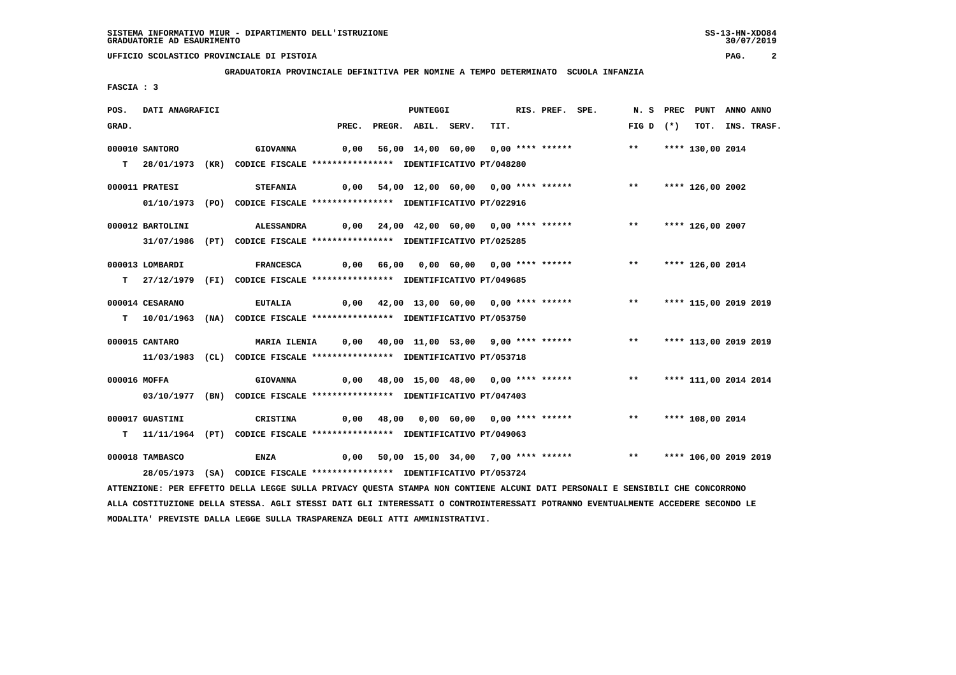**GRADUATORIA PROVINCIALE DEFINITIVA PER NOMINE A TEMPO DETERMINATO SCUOLA INFANZIA**

 **FASCIA : 3**

| POS.         | DATI ANAGRAFICI  |                                                                                                                                 |       | <b>PUNTEGGI</b>    |                                         | RIS. PREF. SPE. |                                                                            |             | N. S PREC PUNT ANNO ANNO |                  |
|--------------|------------------|---------------------------------------------------------------------------------------------------------------------------------|-------|--------------------|-----------------------------------------|-----------------|----------------------------------------------------------------------------|-------------|--------------------------|------------------|
| GRAD.        |                  |                                                                                                                                 | PREC. | PREGR. ABIL. SERV. | TIT.                                    |                 |                                                                            | FIG D $(*)$ |                          | TOT. INS. TRASF. |
|              | 000010 SANTORO   | <b>GIOVANNA</b>                                                                                                                 |       |                    | 0,00 56,00 14,00 60,00 0,00 **** ****** |                 |                                                                            | $***$       | **** 130,00 2014         |                  |
|              |                  | T 28/01/1973 (KR) CODICE FISCALE *************** IDENTIFICATIVO PT/048280                                                       |       |                    |                                         |                 |                                                                            |             |                          |                  |
|              |                  |                                                                                                                                 |       |                    |                                         |                 |                                                                            |             |                          |                  |
|              | 000011 PRATESI   | <b>STEFANIA</b>                                                                                                                 |       |                    |                                         |                 | 0,00 54,00 12,00 60,00 0,00 **** ****** *** **                             |             | **** 126,00 2002         |                  |
|              |                  | 01/10/1973 (PO) CODICE FISCALE *************** IDENTIFICATIVO PT/022916                                                         |       |                    |                                         |                 |                                                                            |             |                          |                  |
|              |                  |                                                                                                                                 |       |                    |                                         |                 |                                                                            |             |                          |                  |
|              | 000012 BARTOLINI | ALESSANDRA                                                                                                                      |       |                    |                                         |                 | 0,00 24,00 42,00 60,00 0,00 **** ******      **   **** 126,00 2007         |             |                          |                  |
|              |                  | 31/07/1986 (PT) CODICE FISCALE *************** IDENTIFICATIVO PT/025285                                                         |       |                    |                                         |                 |                                                                            |             |                          |                  |
|              | 000013 LOMBARDI  | <b>FRANCESCA</b>                                                                                                                |       |                    |                                         |                 | 0,00 66,00 0,00 60,00 0,00 **** ****** *** **                              |             | **** 126,00 2014         |                  |
|              |                  | T 27/12/1979 (FI) CODICE FISCALE *************** IDENTIFICATIVO PT/049685                                                       |       |                    |                                         |                 |                                                                            |             |                          |                  |
|              |                  |                                                                                                                                 |       |                    |                                         |                 |                                                                            |             |                          |                  |
|              | 000014 CESARANO  | <b>EUTALIA</b>                                                                                                                  |       |                    |                                         |                 | 0,00 42,00 13,00 60,00 0,00 **** ******                                    | $***$       | **** 115,00 2019 2019    |                  |
|              |                  | T  10/01/1963 (NA) CODICE FISCALE **************** IDENTIFICATIVO PT/053750                                                     |       |                    |                                         |                 |                                                                            |             |                          |                  |
|              |                  |                                                                                                                                 |       |                    |                                         |                 |                                                                            |             |                          |                  |
|              | 000015 CANTARO   | MARIA ILENIA 0,00 40,00 11,00 53,00 9,00 **** ****** **** **** 113,00 2019 2019                                                 |       |                    |                                         |                 |                                                                            |             |                          |                  |
|              |                  | 11/03/1983 (CL) CODICE FISCALE *************** IDENTIFICATIVO PT/053718                                                         |       |                    |                                         |                 |                                                                            |             |                          |                  |
| 000016 MOFFA |                  | <b>GIOVANNA</b>                                                                                                                 |       |                    |                                         |                 | 0,00 48,00 15,00 48,00 0,00 **** ******                                    | $***$       | **** 111,00 2014 2014    |                  |
|              |                  | 03/10/1977 (BN) CODICE FISCALE *************** IDENTIFICATIVO PT/047403                                                         |       |                    |                                         |                 |                                                                            |             |                          |                  |
|              |                  |                                                                                                                                 |       |                    |                                         |                 |                                                                            |             |                          |                  |
|              | 000017 GUASTINI  | CRISTINA                                                                                                                        |       |                    |                                         |                 | 0,00 48,00 0,00 60,00 0,00 **** ******             **     **** 108,00 2014 |             |                          |                  |
|              |                  | T 11/11/1964 (PT) CODICE FISCALE *************** IDENTIFICATIVO PT/049063                                                       |       |                    |                                         |                 |                                                                            |             |                          |                  |
|              |                  |                                                                                                                                 |       |                    |                                         |                 |                                                                            |             |                          |                  |
|              | 000018 TAMBASCO  | ENZA                                                                                                                            |       |                    |                                         |                 | 0,00 50,00 15,00 34,00 7,00 **** ****** *** **** 106,00 2019 2019          |             |                          |                  |
|              |                  | 28/05/1973 (SA) CODICE FISCALE *************** IDENTIFICATIVO PT/053724                                                         |       |                    |                                         |                 |                                                                            |             |                          |                  |
|              |                  | ATTENZIONE: PER EFFETTO DELLA LEGGE SULLA PRIVACY QUESTA STAMPA NON CONTIENE ALCUNI DATI PERSONALI E SENSIBILI CHE CONCORRONO   |       |                    |                                         |                 |                                                                            |             |                          |                  |
|              |                  | ALLA COSTITUZIONE DELLA STESSA. AGLI STESSI DATI GLI INTERESSATI O CONTROINTERESSATI POTRANNO EVENTUALMENTE ACCEDERE SECONDO LE |       |                    |                                         |                 |                                                                            |             |                          |                  |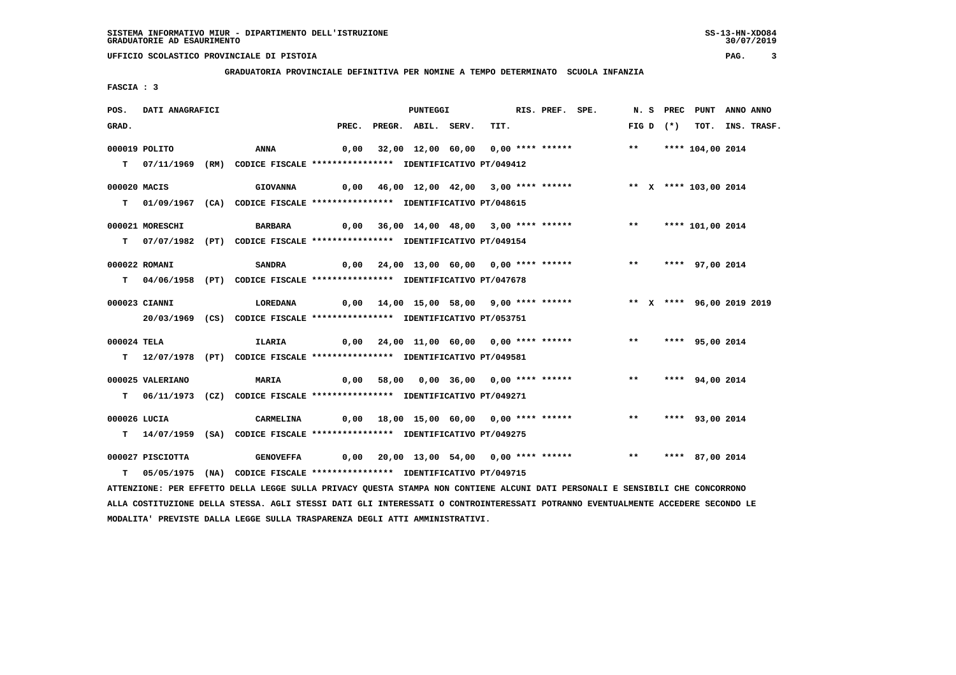**GRADUATORIA PROVINCIALE DEFINITIVA PER NOMINE A TEMPO DETERMINATO SCUOLA INFANZIA**

 **FASCIA : 3**

| POS.        | DATI ANAGRAFICI  |                                                                                                                                 |  | <b>PUNTEGGI</b>          |                                               | RIS. PREF. SPE. |                                                                 |       |             | N. S PREC PUNT ANNO ANNO  |                  |
|-------------|------------------|---------------------------------------------------------------------------------------------------------------------------------|--|--------------------------|-----------------------------------------------|-----------------|-----------------------------------------------------------------|-------|-------------|---------------------------|------------------|
| GRAD.       |                  |                                                                                                                                 |  | PREC. PREGR. ABIL. SERV. | TIT.                                          |                 |                                                                 |       | FIG D $(*)$ |                           | TOT. INS. TRASF. |
|             | 000019 POLITO    | ANNA                                                                                                                            |  |                          | 0,00 32,00 12,00 60,00 0,00 **** ******       |                 |                                                                 |       |             | ** **** 104,00 2014       |                  |
|             |                  |                                                                                                                                 |  |                          |                                               |                 |                                                                 |       |             |                           |                  |
|             |                  | T 07/11/1969 (RM) CODICE FISCALE **************** IDENTIFICATIVO PT/049412                                                      |  |                          |                                               |                 |                                                                 |       |             |                           |                  |
|             | 000020 MACIS     | <b>GIOVANNA</b>                                                                                                                 |  |                          | 0,00 46,00 12,00 42,00 3,00 **** ******       |                 |                                                                 |       |             | ** X **** 103,00 2014     |                  |
|             |                  | T 01/09/1967 (CA) CODICE FISCALE **************** IDENTIFICATIVO PT/048615                                                      |  |                          |                                               |                 |                                                                 |       |             |                           |                  |
|             |                  |                                                                                                                                 |  |                          |                                               |                 |                                                                 |       |             |                           |                  |
|             | 000021 MORESCHI  | <b>BARBARA</b>                                                                                                                  |  |                          | 0,00 36,00 14,00 48,00 3,00 **** ******       |                 |                                                                 |       |             | ** **** 101,00 2014       |                  |
|             |                  | T 07/07/1982 (PT) CODICE FISCALE *************** IDENTIFICATIVO PT/049154                                                       |  |                          |                                               |                 |                                                                 |       |             |                           |                  |
|             | 000022 ROMANI    | <b>SANDRA</b>                                                                                                                   |  |                          | $0,00$ 24,00 13,00 60,00 0,00 **** ******     |                 |                                                                 |       |             | ** **** 97,00 2014        |                  |
|             |                  | T 04/06/1958 (PT) CODICE FISCALE *************** IDENTIFICATIVO PT/047678                                                       |  |                          |                                               |                 |                                                                 |       |             |                           |                  |
|             |                  |                                                                                                                                 |  |                          |                                               |                 |                                                                 |       |             |                           |                  |
|             | 000023 CIANNI    | LOREDANA                                                                                                                        |  |                          | 0,00  14,00  15,00  58,00  9,00  ****  ****** |                 |                                                                 |       |             | ** X **** 96,00 2019 2019 |                  |
|             |                  | 20/03/1969 (CS) CODICE FISCALE *************** IDENTIFICATIVO PT/053751                                                         |  |                          |                                               |                 |                                                                 |       |             |                           |                  |
|             |                  |                                                                                                                                 |  |                          |                                               |                 |                                                                 |       |             |                           |                  |
| 000024 TELA |                  | ILARIA                                                                                                                          |  |                          |                                               |                 |                                                                 |       |             | ** **** 95,00 2014        |                  |
|             |                  | T 12/07/1978 (PT) CODICE FISCALE **************** IDENTIFICATIVO PT/049581                                                      |  |                          |                                               |                 |                                                                 |       |             |                           |                  |
|             | 000025 VALERIANO | MARIA                                                                                                                           |  |                          |                                               |                 | 0,00 58,00 0,00 36,00 0,00 **** ******                          | $***$ |             | **** 94,00 2014           |                  |
|             |                  | T 06/11/1973 (CZ) CODICE FISCALE **************** IDENTIFICATIVO PT/049271                                                      |  |                          |                                               |                 |                                                                 |       |             |                           |                  |
|             |                  |                                                                                                                                 |  |                          |                                               |                 |                                                                 |       |             |                           |                  |
|             | 000026 LUCIA     | CARMELINA                                                                                                                       |  |                          |                                               |                 | 0,00 18,00 15,00 60,00 0,00 **** ****** *** *** **** 93,00 2014 |       |             |                           |                  |
|             |                  | T 14/07/1959 (SA) CODICE FISCALE **************** IDENTIFICATIVO PT/049275                                                      |  |                          |                                               |                 |                                                                 |       |             |                           |                  |
|             |                  |                                                                                                                                 |  |                          |                                               |                 |                                                                 |       |             |                           |                  |
|             | 000027 PISCIOTTA | <b>GENOVEFFA</b>                                                                                                                |  |                          |                                               |                 | $0,00$ 20,00 13,00 54,00 0,00 **** ******                       |       |             | ** **** 87,00 2014        |                  |
| T.          |                  | 05/05/1975 (NA) CODICE FISCALE **************** IDENTIFICATIVO PT/049715                                                        |  |                          |                                               |                 |                                                                 |       |             |                           |                  |
|             |                  | ATTENZIONE: PER EFFETTO DELLA LEGGE SULLA PRIVACY QUESTA STAMPA NON CONTIENE ALCUNI DATI PERSONALI E SENSIBILI CHE CONCORRONO   |  |                          |                                               |                 |                                                                 |       |             |                           |                  |
|             |                  | ALLA COSTITUZIONE DELLA STESSA. AGLI STESSI DATI GLI INTERESSATI O CONTROINTERESSATI POTRANNO EVENTUALMENTE ACCEDERE SECONDO LE |  |                          |                                               |                 |                                                                 |       |             |                           |                  |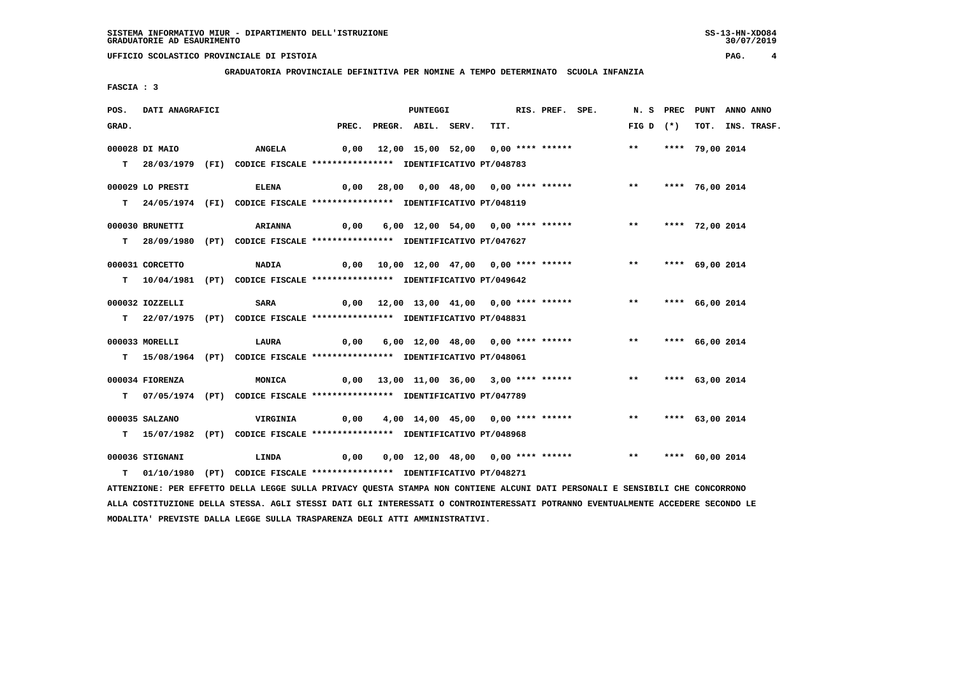**GRADUATORIA PROVINCIALE DEFINITIVA PER NOMINE A TEMPO DETERMINATO SCUOLA INFANZIA**

 **FASCIA : 3**

| POS.  | DATI ANAGRAFICI  |                                                                                                                               |      | PUNTEGGI                 |                                                                 | RIS. PREF. SPE. |                    | N. S PREC PUNT ANNO ANNO |                  |
|-------|------------------|-------------------------------------------------------------------------------------------------------------------------------|------|--------------------------|-----------------------------------------------------------------|-----------------|--------------------|--------------------------|------------------|
| GRAD. |                  |                                                                                                                               |      | PREC. PREGR. ABIL. SERV. | TIT.                                                            |                 | FIG D $(*)$        |                          | TOT. INS. TRASF. |
|       | 000028 DI MAIO   | <b>ANGELA</b>                                                                                                                 |      |                          | 0,00 12,00 15,00 52,00 0,00 **** ****** *** **                  |                 |                    | **** 79,00 2014          |                  |
|       |                  | T 28/03/1979 (FI) CODICE FISCALE *************** IDENTIFICATIVO PT/048783                                                     |      |                          |                                                                 |                 |                    |                          |                  |
|       |                  |                                                                                                                               |      |                          |                                                                 |                 |                    |                          |                  |
|       | 000029 LO PRESTI | <b>ELENA</b>                                                                                                                  |      |                          | 0,00 28,00 0,00 48,00 0,00 **** ****** *** *** **** 76,00 2014  |                 |                    |                          |                  |
|       |                  | T 24/05/1974 (FI) CODICE FISCALE *************** IDENTIFICATIVO PT/048119                                                     |      |                          |                                                                 |                 |                    |                          |                  |
|       | 000030 BRUNETTI  | <b>ARIANNA</b>                                                                                                                | 0,00 |                          | 6,00 12,00 54,00 0,00 **** ******                               |                 | $***$              | **** 72,00 2014          |                  |
|       |                  | T 28/09/1980 (PT) CODICE FISCALE *************** IDENTIFICATIVO PT/047627                                                     |      |                          |                                                                 |                 |                    |                          |                  |
|       |                  |                                                                                                                               |      |                          |                                                                 |                 |                    |                          |                  |
|       | 000031 CORCETTO  | <b>NADIA</b>                                                                                                                  |      |                          | 0,00  10,00  12,00  47,00  0,00  ****  ******                   |                 | ** **** 69,00 2014 |                          |                  |
|       |                  | T 10/04/1981 (PT) CODICE FISCALE **************** IDENTIFICATIVO PT/049642                                                    |      |                          |                                                                 |                 |                    |                          |                  |
|       | 000032 IOZZELLI  | SARA                                                                                                                          |      |                          | 0,00 12,00 13,00 41,00 0,00 **** ****** *** *** **** 66,00 2014 |                 |                    |                          |                  |
|       |                  | T 22/07/1975 (PT) CODICE FISCALE *************** IDENTIFICATIVO PT/048831                                                     |      |                          |                                                                 |                 |                    |                          |                  |
|       |                  |                                                                                                                               |      |                          |                                                                 |                 |                    |                          |                  |
|       | 000033 MORELLI   | <b>LAURA</b>                                                                                                                  | 0,00 |                          | 6,00 12,00 48,00 0,00 **** ******                               |                 | $***$              | **** 66,00 2014          |                  |
|       |                  | T 15/08/1964 (PT) CODICE FISCALE *************** IDENTIFICATIVO PT/048061                                                     |      |                          |                                                                 |                 |                    |                          |                  |
|       | 000034 FIORENZA  | MONICA                                                                                                                        |      |                          | 0,00 13,00 11,00 36,00 3,00 **** ******                         |                 | ** **** 63,00 2014 |                          |                  |
|       |                  | T 07/05/1974 (PT) CODICE FISCALE **************** IDENTIFICATIVO PT/047789                                                    |      |                          |                                                                 |                 |                    |                          |                  |
|       |                  |                                                                                                                               |      |                          |                                                                 |                 |                    |                          |                  |
|       | 000035 SALZANO   | VIRGINIA                                                                                                                      | 0,00 |                          | 4,00 14,00 45,00 0,00 **** ******                               |                 | ** **** 63,00 2014 |                          |                  |
|       |                  | T 15/07/1982 (PT) CODICE FISCALE **************** IDENTIFICATIVO PT/048968                                                    |      |                          |                                                                 |                 |                    |                          |                  |
|       | 000036 STIGNANI  | <b>LINDA</b>                                                                                                                  | 0,00 |                          | 0,00 12,00 48,00 0,00 **** ****** *** *** **** 60,00 2014       |                 |                    |                          |                  |
|       |                  | T 01/10/1980 (PT) CODICE FISCALE *************** IDENTIFICATIVO PT/048271                                                     |      |                          |                                                                 |                 |                    |                          |                  |
|       |                  | ATTENZIONE: PER EFFETTO DELLA LEGGE SULLA PRIVACY QUESTA STAMPA NON CONTIENE ALCUNI DATI PERSONALI E SENSIBILI CHE CONCORRONO |      |                          |                                                                 |                 |                    |                          |                  |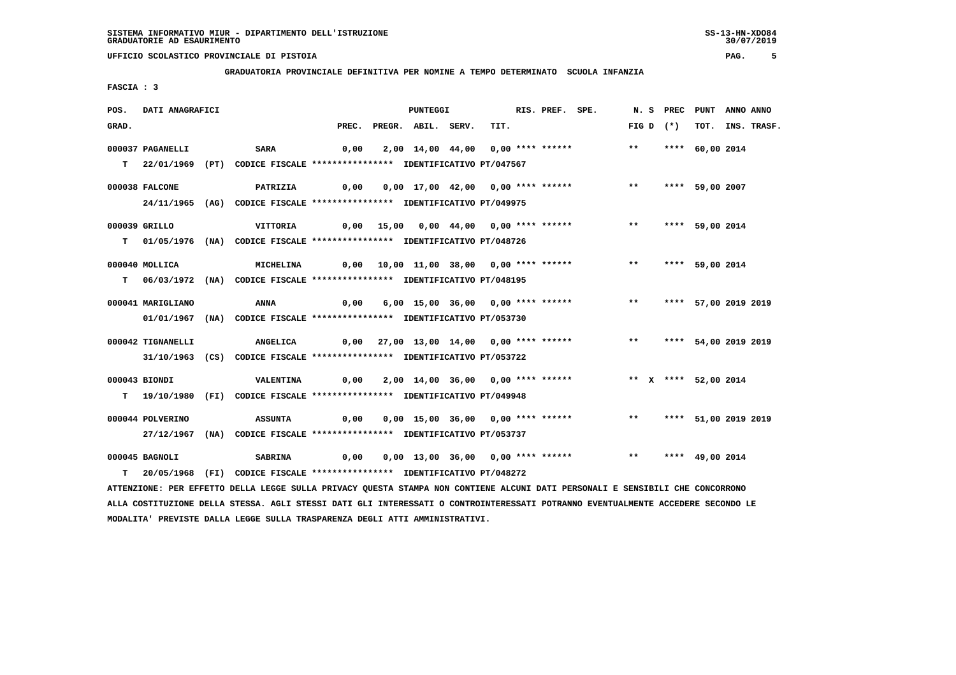**GRADUATORIA PROVINCIALE DEFINITIVA PER NOMINE A TEMPO DETERMINATO SCUOLA INFANZIA**

 **FASCIA : 3**

| POS.  | DATI ANAGRAFICI   |                                                                                                                               |       | PUNTEGGI           |                                                                                 | RIS. PREF. SPE. |                         | N. S PREC PUNT ANNO ANNO |                      |                  |
|-------|-------------------|-------------------------------------------------------------------------------------------------------------------------------|-------|--------------------|---------------------------------------------------------------------------------|-----------------|-------------------------|--------------------------|----------------------|------------------|
| GRAD. |                   |                                                                                                                               | PREC. | PREGR. ABIL. SERV. | TIT.                                                                            |                 | FIG D $(*)$             |                          |                      | TOT. INS. TRASF. |
|       | 000037 PAGANELLI  | <b>SARA</b>                                                                                                                   | 0,00  |                    | 2,00 14,00 44,00 0,00 **** ******                                               |                 | $***$                   |                          | **** 60,00 2014      |                  |
|       |                   | T 22/01/1969 (PT) CODICE FISCALE **************** IDENTIFICATIVO PT/047567                                                    |       |                    |                                                                                 |                 |                         |                          |                      |                  |
|       | 000038 FALCONE    | PATRIZIA                                                                                                                      |       |                    | 0,00  0,00  17,00  42,00  0,00  ****  ******    **    ***    ***    59,00  2007 |                 |                         |                          |                      |                  |
|       |                   | 24/11/1965 (AG) CODICE FISCALE *************** IDENTIFICATIVO PT/049975                                                       |       |                    |                                                                                 |                 |                         |                          |                      |                  |
|       | 000039 GRILLO     | VITTORIA                                                                                                                      |       |                    | 0,00 15,00 0,00 44,00 0,00 **** ******                                          |                 | $***$                   |                          | **** 59,00 2014      |                  |
|       |                   | T 01/05/1976 (NA) CODICE FISCALE *************** IDENTIFICATIVO PT/048726                                                     |       |                    |                                                                                 |                 |                         |                          |                      |                  |
|       |                   |                                                                                                                               |       |                    |                                                                                 |                 |                         |                          |                      |                  |
|       | 000040 MOLLICA    | MICHELINA                                                                                                                     |       |                    | 0,00 10,00 11,00 38,00 0,00 **** ****** *** **                                  |                 |                         |                          | **** 59,00 2014      |                  |
|       |                   | T 06/03/1972 (NA) CODICE FISCALE *************** IDENTIFICATIVO PT/048195                                                     |       |                    |                                                                                 |                 |                         |                          |                      |                  |
|       | 000041 MARIGLIANO | ANNA                                                                                                                          | 0,00  |                    | 6,00 15,00 36,00 0,00 **** ******                                               |                 | ** **** 57,00 2019 2019 |                          |                      |                  |
|       |                   | 01/01/1967 (NA) CODICE FISCALE *************** IDENTIFICATIVO PT/053730                                                       |       |                    |                                                                                 |                 |                         |                          |                      |                  |
|       | 000042 TIGNANELLI | ANGELICA                                                                                                                      |       |                    | 0,00 27,00 13,00 14,00 0,00 **** ****** *** **                                  |                 |                         |                          | **** 54,00 2019 2019 |                  |
|       |                   | 31/10/1963 (CS) CODICE FISCALE *************** IDENTIFICATIVO PT/053722                                                       |       |                    |                                                                                 |                 |                         |                          |                      |                  |
|       |                   |                                                                                                                               |       |                    |                                                                                 |                 |                         |                          |                      |                  |
|       | 000043 BIONDI     | VALENTINA                                                                                                                     |       |                    | 0,00 2,00 14,00 36,00 0,00 **** ****** *** ** ** **** 52,00 2014                |                 |                         |                          |                      |                  |
|       |                   | T 19/10/1980 (FI) CODICE FISCALE *************** IDENTIFICATIVO PT/049948                                                     |       |                    |                                                                                 |                 |                         |                          |                      |                  |
|       | 000044 POLVERINO  | <b>ASSUNTA</b>                                                                                                                | 0,00  |                    | 0,00 15,00 36,00 0,00 **** ******                                               |                 |                         | ** **** 51,00 2019 2019  |                      |                  |
|       |                   | 27/12/1967 (NA) CODICE FISCALE *************** IDENTIFICATIVO PT/053737                                                       |       |                    |                                                                                 |                 |                         |                          |                      |                  |
|       | 000045 BAGNOLI    | <b>SABRINA</b>                                                                                                                | 0,00  |                    | 0,00 13,00 36,00 0,00 **** ******             **     **** 49,00 2014            |                 |                         |                          |                      |                  |
|       |                   | T 20/05/1968 (FI) CODICE FISCALE **************** IDENTIFICATIVO PT/048272                                                    |       |                    |                                                                                 |                 |                         |                          |                      |                  |
|       |                   | ATTENZIONE: PER EFFETTO DELLA LEGGE SULLA PRIVACY QUESTA STAMPA NON CONTIENE ALCUNI DATI PERSONALI E SENSIBILI CHE CONCORRONO |       |                    |                                                                                 |                 |                         |                          |                      |                  |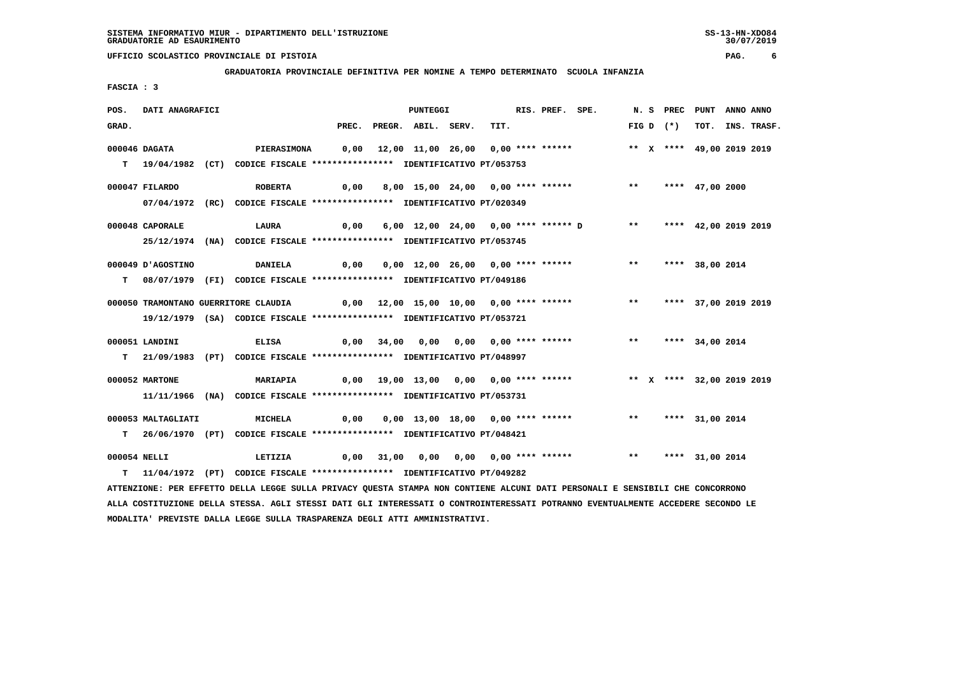**GRADUATORIA PROVINCIALE DEFINITIVA PER NOMINE A TEMPO DETERMINATO SCUOLA INFANZIA**

 **FASCIA : 3**

| POS.  | DATI ANAGRAFICI    |                                                                                                                               |      | <b>PUNTEGGI</b>          |                                                                        | RIS. PREF. SPE. |       | N.S PREC    | PUNT                      | ANNO ANNO        |
|-------|--------------------|-------------------------------------------------------------------------------------------------------------------------------|------|--------------------------|------------------------------------------------------------------------|-----------------|-------|-------------|---------------------------|------------------|
| GRAD. |                    |                                                                                                                               |      | PREC. PREGR. ABIL. SERV. | TIT.                                                                   |                 |       | FIG D $(*)$ |                           | TOT. INS. TRASF. |
|       | 000046 DAGATA      | <b>PIERASIMONA</b>                                                                                                            |      |                          | 0,00 12,00 11,00 26,00 0,00 **** ******                                |                 |       |             | ** X **** 49,00 2019 2019 |                  |
|       |                    | T 19/04/1982 (CT) CODICE FISCALE *************** IDENTIFICATIVO PT/053753                                                     |      |                          |                                                                        |                 |       |             |                           |                  |
|       | 000047 FILARDO     | <b>ROBERTA</b>                                                                                                                | 0,00 |                          | 8,00 15,00 24,00 0,00 **** ****** *** *** **** 47,00 2000              |                 |       |             |                           |                  |
|       |                    | 07/04/1972 (RC) CODICE FISCALE *************** IDENTIFICATIVO PT/020349                                                       |      |                          |                                                                        |                 |       |             |                           |                  |
|       |                    |                                                                                                                               |      |                          |                                                                        |                 |       |             |                           |                  |
|       | 000048 CAPORALE    | LAURA                                                                                                                         | 0,00 |                          | 6,00 12,00 24,00 0,00 **** ****** D                                    |                 | $***$ |             | **** 42,00 2019 2019      |                  |
|       |                    | 25/12/1974 (NA) CODICE FISCALE *************** IDENTIFICATIVO PT/053745                                                       |      |                          |                                                                        |                 |       |             |                           |                  |
|       | 000049 J'AGOSTINO  | <b>DANIELA</b>                                                                                                                | 0,00 |                          | 0,00 12,00 26,00 0,00 **** ******                                      |                 |       |             | ** **** 38,00 2014        |                  |
|       |                    | T 08/07/1979 (FI) CODICE FISCALE *************** IDENTIFICATIVO PT/049186                                                     |      |                          |                                                                        |                 |       |             |                           |                  |
|       |                    |                                                                                                                               |      |                          |                                                                        |                 |       |             |                           |                  |
|       |                    | 000050 TRAMONTANO GUERRITORE CLAUDIA                                                                                          |      |                          | 0,00 12,00 15,00 10,00 0,00 **** ******                                |                 |       |             | ** **** 37,00 2019 2019   |                  |
|       |                    | 19/12/1979 (SA) CODICE FISCALE *************** IDENTIFICATIVO PT/053721                                                       |      |                          |                                                                        |                 |       |             |                           |                  |
|       | 000051 LANDINI     | <b>ELISA</b>                                                                                                                  |      |                          |                                                                        |                 |       |             |                           |                  |
|       |                    | T 21/09/1983 (PT) CODICE FISCALE *************** IDENTIFICATIVO PT/048997                                                     |      |                          |                                                                        |                 |       |             |                           |                  |
|       | 000052 MARTONE     | MARIAPIA                                                                                                                      |      |                          | 0,00 19,00 13,00 0,00 0,00 **** ****** *** ** ** ** ** 32,00 2019 2019 |                 |       |             |                           |                  |
|       |                    | 11/11/1966 (NA) CODICE FISCALE *************** IDENTIFICATIVO PT/053731                                                       |      |                          |                                                                        |                 |       |             |                           |                  |
|       |                    |                                                                                                                               |      |                          |                                                                        |                 |       |             |                           |                  |
|       | 000053 MALTAGLIATI | <b>MICHELA</b>                                                                                                                | 0,00 |                          | 0,00 13,00 18,00 0,00 **** ****** *** **                               |                 |       |             | **** 31,00 2014           |                  |
|       |                    | T 26/06/1970 (PT) CODICE FISCALE *************** IDENTIFICATIVO PT/048421                                                     |      |                          |                                                                        |                 |       |             |                           |                  |
|       | 000054 NELLI       | LETIZIA                                                                                                                       | 0,00 |                          | 31,00 0,00 0,00 0,00 **** ****** *** ***                               |                 |       |             | **** 31,00 2014           |                  |
|       |                    | T 11/04/1972 (PT) CODICE FISCALE **************** IDENTIFICATIVO PT/049282                                                    |      |                          |                                                                        |                 |       |             |                           |                  |
|       |                    | ATTENZIONE: PER EFFETTO DELLA LEGGE SULLA PRIVACY QUESTA STAMPA NON CONTIENE ALCUNI DATI PERSONALI E SENSIBILI CHE CONCORRONO |      |                          |                                                                        |                 |       |             |                           |                  |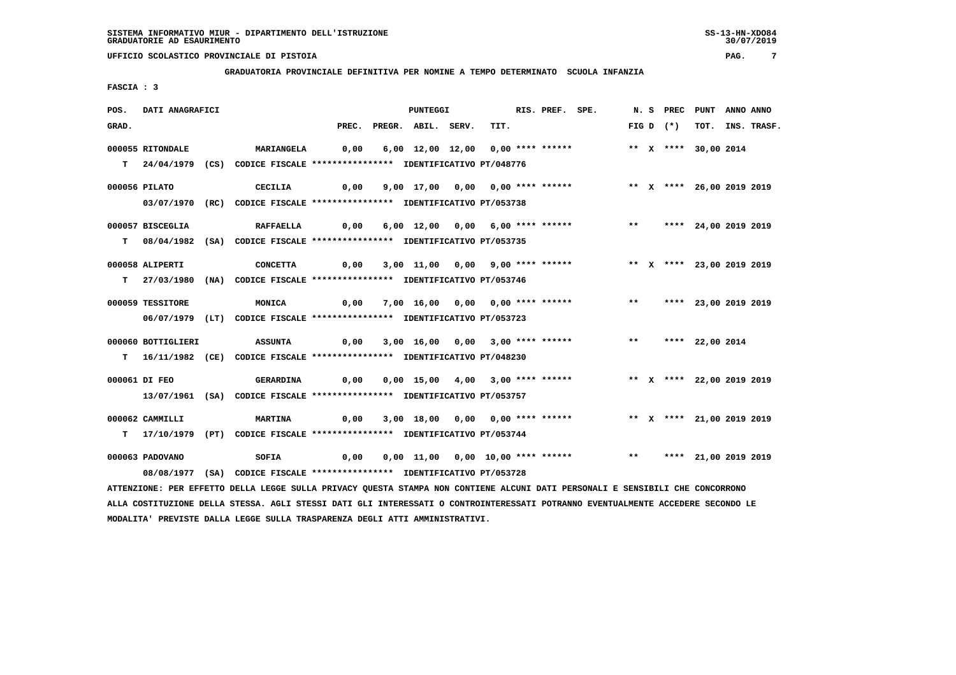**GRADUATORIA PROVINCIALE DEFINITIVA PER NOMINE A TEMPO DETERMINATO SCUOLA INFANZIA**

 **FASCIA : 3**

| POS.  | DATI ANAGRAFICI    |                                                                                                                                 |       | <b>PUNTEGGI</b>    |                                   | RIS. PREF. SPE. |                                                                 |       |             | N. S PREC PUNT ANNO ANNO  |                  |
|-------|--------------------|---------------------------------------------------------------------------------------------------------------------------------|-------|--------------------|-----------------------------------|-----------------|-----------------------------------------------------------------|-------|-------------|---------------------------|------------------|
| GRAD. |                    |                                                                                                                                 | PREC. | PREGR. ABIL. SERV. | TIT.                              |                 |                                                                 |       | FIG D $(*)$ |                           | TOT. INS. TRASF. |
|       | 000055 RITONDALE   | MARIANGELA                                                                                                                      | 0,00  |                    | 6,00 12,00 12,00 0,00 **** ****** |                 |                                                                 |       |             | ** X **** 30,00 2014      |                  |
|       |                    |                                                                                                                                 |       |                    |                                   |                 |                                                                 |       |             |                           |                  |
|       |                    | T 24/04/1979 (CS) CODICE FISCALE *************** IDENTIFICATIVO PT/048776                                                       |       |                    |                                   |                 |                                                                 |       |             |                           |                  |
|       | 000056 PILATO      | CECILIA                                                                                                                         | 0,00  |                    | 9,00 17,00 0,00 0,00 **** ******  |                 |                                                                 |       |             | ** X **** 26,00 2019 2019 |                  |
|       |                    | 03/07/1970 (RC) CODICE FISCALE *************** IDENTIFICATIVO PT/053738                                                         |       |                    |                                   |                 |                                                                 |       |             |                           |                  |
|       |                    |                                                                                                                                 |       |                    |                                   |                 |                                                                 |       |             |                           |                  |
|       | 000057 BISCEGLIA   | <b>RAFFAELLA</b>                                                                                                                | 0,00  |                    | 6,00 12,00 0,00 6,00 **** ******  |                 |                                                                 |       |             | ** **** 24,00 2019 2019   |                  |
|       |                    | T 08/04/1982 (SA) CODICE FISCALE **************** IDENTIFICATIVO PT/053735                                                      |       |                    |                                   |                 |                                                                 |       |             |                           |                  |
|       | 000058 ALIPERTI    | <b>CONCETTA</b>                                                                                                                 | 0,00  |                    | 3,00 11,00 0,00 9,00 **** ******  |                 |                                                                 |       |             | ** X **** 23,00 2019 2019 |                  |
|       |                    | T 27/03/1980 (NA) CODICE FISCALE *************** IDENTIFICATIVO PT/053746                                                       |       |                    |                                   |                 |                                                                 |       |             |                           |                  |
|       |                    |                                                                                                                                 |       |                    |                                   |                 |                                                                 |       |             |                           |                  |
|       | 000059 TESSITORE   | MONICA                                                                                                                          | 0,00  |                    | 7,00 16,00 0,00 0,00 **** ******  |                 |                                                                 | $***$ |             | **** 23,00 2019 2019      |                  |
|       |                    | 06/07/1979 (LT) CODICE FISCALE *************** IDENTIFICATIVO PT/053723                                                         |       |                    |                                   |                 |                                                                 |       |             |                           |                  |
|       |                    |                                                                                                                                 |       |                    |                                   |                 |                                                                 |       |             |                           |                  |
|       | 000060 BOTTIGLIERI | <b>ASSUNTA</b>                                                                                                                  | 0,00  |                    | 3,00 16,00 0,00 3,00 **** ******  |                 |                                                                 |       |             | ** **** 22,00 2014        |                  |
|       |                    | T 16/11/1982 (CE) CODICE FISCALE *************** IDENTIFICATIVO PT/048230                                                       |       |                    |                                   |                 |                                                                 |       |             |                           |                  |
|       | 000061 DI FEO      | <b>GERARDINA</b>                                                                                                                | 0,00  |                    |                                   |                 | 0,00 15,00 4,00 3,00 **** ******                                |       |             | ** X **** 22,00 2019 2019 |                  |
|       |                    | 13/07/1961 (SA) CODICE FISCALE *************** IDENTIFICATIVO PT/053757                                                         |       |                    |                                   |                 |                                                                 |       |             |                           |                  |
|       |                    |                                                                                                                                 |       |                    |                                   |                 |                                                                 |       |             |                           |                  |
|       | 000062 CAMMILLI    | <b>MARTINA</b>                                                                                                                  | 0,00  |                    |                                   |                 | 3,00 18,00 0,00 0,00 **** ****** *** *** X **** 21,00 2019 2019 |       |             |                           |                  |
| т     |                    | 17/10/1979 (PT) CODICE FISCALE *************** IDENTIFICATIVO PT/053744                                                         |       |                    |                                   |                 |                                                                 |       |             |                           |                  |
|       | 000063 PADOVANO    | SOFIA                                                                                                                           | 0,00  |                    |                                   |                 | 0,00 11,00 0,00 10,00 **** ****** *** *** **** 21,00 2019 2019  |       |             |                           |                  |
|       |                    | 08/08/1977 (SA) CODICE FISCALE *************** IDENTIFICATIVO PT/053728                                                         |       |                    |                                   |                 |                                                                 |       |             |                           |                  |
|       |                    |                                                                                                                                 |       |                    |                                   |                 |                                                                 |       |             |                           |                  |
|       |                    | ATTENZIONE: PER EFFETTO DELLA LEGGE SULLA PRIVACY QUESTA STAMPA NON CONTIENE ALCUNI DATI PERSONALI E SENSIBILI CHE CONCORRONO   |       |                    |                                   |                 |                                                                 |       |             |                           |                  |
|       |                    | ALLA COSTITUZIONE DELLA STESSA. AGLI STESSI DATI GLI INTERESSATI O CONTROINTERESSATI POTRANNO EVENTUALMENTE ACCEDERE SECONDO LE |       |                    |                                   |                 |                                                                 |       |             |                           |                  |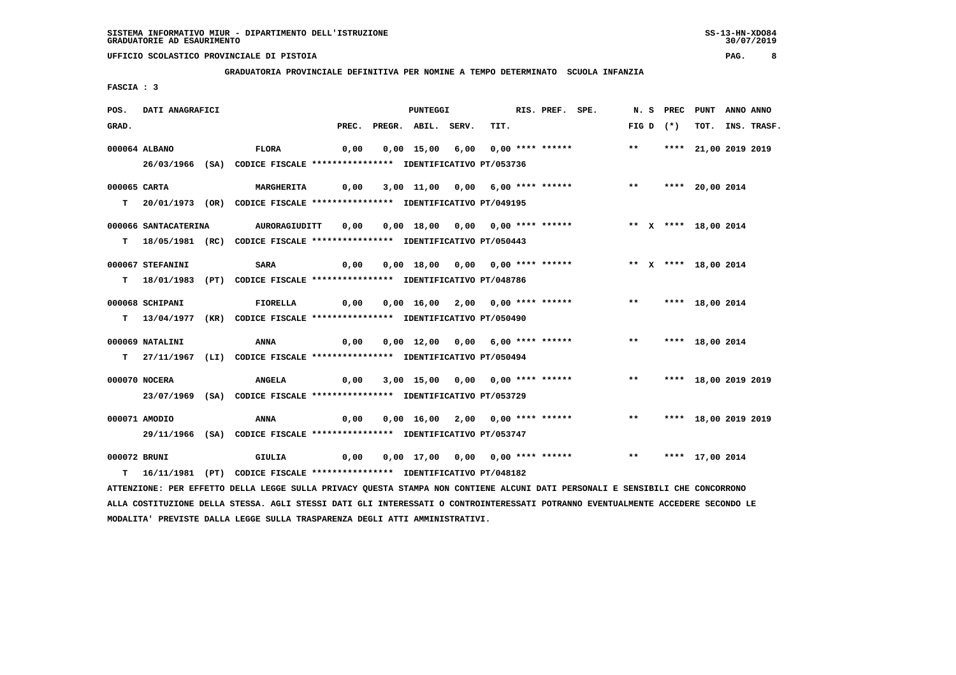**GRADUATORIA PROVINCIALE DEFINITIVA PER NOMINE A TEMPO DETERMINATO SCUOLA INFANZIA**

 **FASCIA : 3**

| POS.         | DATI ANAGRAFICI      |                                                                                                                               |       | PUNTEGGI           |                                  | RIS. PREF. SPE. |                                                                     |       | N. S PREC PUNT |                         | ANNO ANNO |                  |
|--------------|----------------------|-------------------------------------------------------------------------------------------------------------------------------|-------|--------------------|----------------------------------|-----------------|---------------------------------------------------------------------|-------|----------------|-------------------------|-----------|------------------|
| GRAD.        |                      |                                                                                                                               | PREC. | PREGR. ABIL. SERV. | TIT.                             |                 |                                                                     |       | $FIG D (*)$    |                         |           | TOT. INS. TRASF. |
|              | 000064 ALBANO        | <b>FLORA</b>                                                                                                                  | 0,00  |                    | 0,00 15,00 6,00 0,00 **** ****** |                 |                                                                     | $***$ |                | **** 21,00 2019 2019    |           |                  |
|              |                      | 26/03/1966 (SA) CODICE FISCALE *************** IDENTIFICATIVO PT/053736                                                       |       |                    |                                  |                 |                                                                     |       |                |                         |           |                  |
| 000065 CARTA |                      | <b>MARGHERITA</b>                                                                                                             |       |                    |                                  |                 | 0,00 3,00 11,00 0,00 6,00 **** ****** *** *** **** 20,00 2014       |       |                |                         |           |                  |
|              |                      | T 20/01/1973 (OR) CODICE FISCALE **************** IDENTIFICATIVO PT/049195                                                    |       |                    |                                  |                 |                                                                     |       |                |                         |           |                  |
|              | 000066 SANTACATERINA | AURORAGIUDITT                                                                                                                 | 0,00  |                    |                                  |                 | 0,00 18,00 0,00 0,00 **** ****** *** ** ** *** 18,00 2014           |       |                |                         |           |                  |
|              |                      | T 18/05/1981 (RC) CODICE FISCALE *************** IDENTIFICATIVO PT/050443                                                     |       |                    |                                  |                 |                                                                     |       |                |                         |           |                  |
|              | 000067 STEFANINI     | <b>SARA</b>                                                                                                                   | 0,00  |                    |                                  |                 | 0,00 18,00 0,00 0,00 **** ******               ** x **** 18,00 2014 |       |                |                         |           |                  |
|              |                      | T 18/01/1983 (PT) CODICE FISCALE **************** IDENTIFICATIVO PT/048786                                                    |       |                    |                                  |                 |                                                                     |       |                |                         |           |                  |
|              | 000068 SCHIPANI      | <b>FIORELLA</b>                                                                                                               | 0,00  |                    | 0,00 16,00 2,00 0,00 **** ****** |                 |                                                                     |       |                | ** **** 18,00 2014      |           |                  |
|              |                      | T 13/04/1977 (KR) CODICE FISCALE *************** IDENTIFICATIVO PT/050490                                                     |       |                    |                                  |                 |                                                                     |       |                |                         |           |                  |
|              | 000069 NATALINI      | ANNA                                                                                                                          | 0,00  |                    | 0,00 12,00 0,00 6,00 **** ****** |                 |                                                                     | $***$ |                | **** 18,00 2014         |           |                  |
|              |                      | T 27/11/1967 (LI) CODICE FISCALE *************** IDENTIFICATIVO PT/050494                                                     |       |                    |                                  |                 |                                                                     |       |                |                         |           |                  |
|              | 000070 NOCERA        | <b>ANGELA</b>                                                                                                                 | 0,00  |                    |                                  |                 | 3,00 15,00 0,00 0,00 **** ******                                    | $***$ |                | **** 18,00 2019 2019    |           |                  |
|              |                      | 23/07/1969 (SA) CODICE FISCALE *************** IDENTIFICATIVO PT/053729                                                       |       |                    |                                  |                 |                                                                     |       |                |                         |           |                  |
|              | 000071 AMODIO        | ANNA                                                                                                                          | 0,00  |                    |                                  |                 | 0,00 16,00 2,00 0,00 **** ******                                    |       |                | ** **** 18,00 2019 2019 |           |                  |
|              |                      | 29/11/1966 (SA) CODICE FISCALE *************** IDENTIFICATIVO PT/053747                                                       |       |                    |                                  |                 |                                                                     |       |                |                         |           |                  |
|              |                      |                                                                                                                               |       |                    |                                  |                 |                                                                     |       |                |                         |           |                  |
| 000072 BRUNI |                      | GIULIA<br>0,00                                                                                                                |       |                    |                                  |                 |                                                                     |       |                |                         |           |                  |
| T.           |                      | 16/11/1981 (PT) CODICE FISCALE *************** IDENTIFICATIVO PT/048182                                                       |       |                    |                                  |                 |                                                                     |       |                |                         |           |                  |
|              |                      | ATTENZIONE: PER EFFETTO DELLA LEGGE SULLA PRIVACY QUESTA STAMPA NON CONTIENE ALCUNI DATI PERSONALI E SENSIBILI CHE CONCORRONO |       |                    |                                  |                 |                                                                     |       |                |                         |           |                  |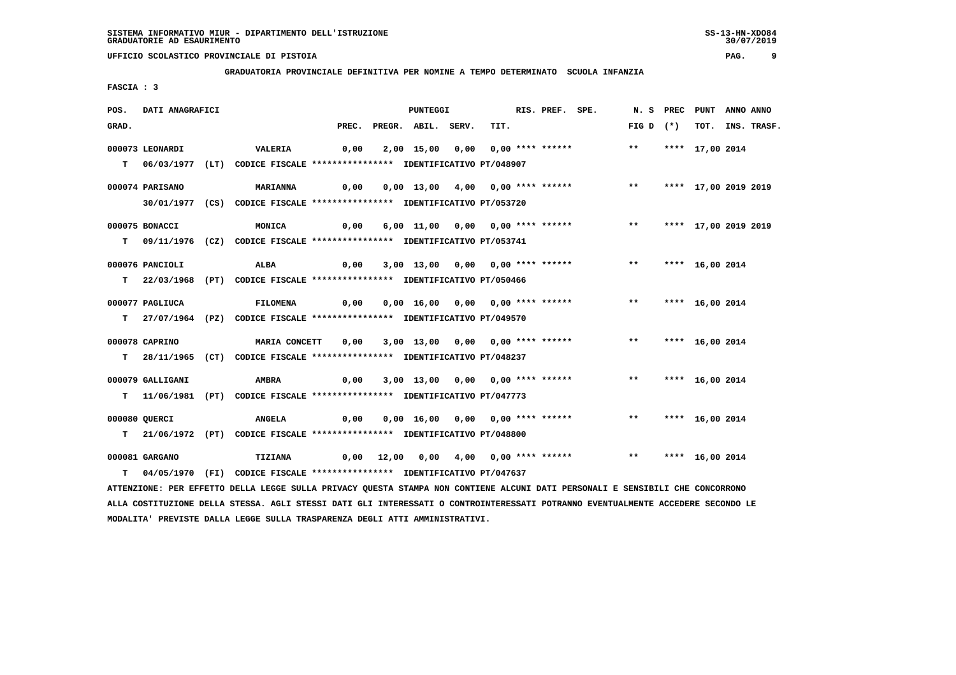**GRADUATORIA PROVINCIALE DEFINITIVA PER NOMINE A TEMPO DETERMINATO SCUOLA INFANZIA**

 **FASCIA : 3**

| POS.  | DATI ANAGRAFICI  |                                                                                                                               |      | PUNTEGGI                 |                                  | RIS. PREF. SPE. |                                                               |                    | N. S PREC PUNT |                      | ANNO ANNO |                  |
|-------|------------------|-------------------------------------------------------------------------------------------------------------------------------|------|--------------------------|----------------------------------|-----------------|---------------------------------------------------------------|--------------------|----------------|----------------------|-----------|------------------|
| GRAD. |                  |                                                                                                                               |      | PREC. PREGR. ABIL. SERV. | TIT.                             |                 |                                                               | FIG D $(*)$        |                |                      |           | TOT. INS. TRASF. |
|       | 000073 LEONARDI  | VALERIA                                                                                                                       | 0,00 |                          | 2,00 15,00 0,00 0,00 **** ****** |                 |                                                               | $\star\star$       |                | **** 17,00 2014      |           |                  |
|       |                  | T 06/03/1977 (LT) CODICE FISCALE *************** IDENTIFICATIVO PT/048907                                                     |      |                          |                                  |                 |                                                               |                    |                |                      |           |                  |
|       | 000074 PARISANO  | <b>MARIANNA</b>                                                                                                               | 0,00 |                          | 0,00 13,00 4,00 0,00 **** ****** |                 |                                                               | $***$              |                | **** 17,00 2019 2019 |           |                  |
|       |                  | 30/01/1977 (CS) CODICE FISCALE *************** IDENTIFICATIVO PT/053720                                                       |      |                          |                                  |                 |                                                               |                    |                |                      |           |                  |
|       | 000075 BONACCI   | <b>MONICA</b>                                                                                                                 | 0,00 |                          |                                  |                 | 6,00 11,00 0,00 0,00 **** ******                              | $***$              |                | **** 17,00 2019 2019 |           |                  |
|       |                  | T 09/11/1976 (CZ) CODICE FISCALE **************** IDENTIFICATIVO PT/053741                                                    |      |                          |                                  |                 |                                                               |                    |                |                      |           |                  |
|       | 000076 PANCIOLI  | ALBA                                                                                                                          | 0,00 |                          | 3,00 13,00 0,00 0,00 **** ****** |                 |                                                               | $***$              |                | **** 16,00 2014      |           |                  |
|       |                  | T 22/03/1968 (PT) CODICE FISCALE *************** IDENTIFICATIVO PT/050466                                                     |      |                          |                                  |                 |                                                               |                    |                |                      |           |                  |
|       | 000077 PAGLIUCA  | <b>FILOMENA</b>                                                                                                               | 0,00 |                          | 0,00 16,00 0,00 0,00 **** ****** |                 |                                                               | $***$              |                | **** 16,00 2014      |           |                  |
|       |                  | T 27/07/1964 (PZ) CODICE FISCALE *************** IDENTIFICATIVO PT/049570                                                     |      |                          |                                  |                 |                                                               |                    |                |                      |           |                  |
|       | 000078 CAPRINO   | <b>MARIA CONCETT</b>                                                                                                          | 0,00 |                          |                                  |                 | 3,00 13,00 0,00 0,00 **** ******                              | $***$              |                | **** 16,00 2014      |           |                  |
|       |                  | T 28/11/1965 (CT) CODICE FISCALE *************** IDENTIFICATIVO PT/048237                                                     |      |                          |                                  |                 |                                                               |                    |                |                      |           |                  |
|       | 000079 GALLIGANI | AMBRA                                                                                                                         | 0,00 |                          | 3,00 13,00 0,00 0,00 **** ****** |                 |                                                               | $***$              |                | **** 16,00 2014      |           |                  |
|       |                  | T 11/06/1981 (PT) CODICE FISCALE *************** IDENTIFICATIVO PT/047773                                                     |      |                          |                                  |                 |                                                               |                    |                |                      |           |                  |
|       | 000080 QUERCI    | <b>ANGELA</b>                                                                                                                 | 0,00 |                          | 0,00 16,00 0,00 0,00 **** ****** |                 |                                                               | ** **** 16,00 2014 |                |                      |           |                  |
| т     |                  | 21/06/1972 (PT) CODICE FISCALE *************** IDENTIFICATIVO PT/048800                                                       |      |                          |                                  |                 |                                                               |                    |                |                      |           |                  |
|       | 000081 GARGANO   | <b>TIZIANA</b>                                                                                                                |      |                          |                                  |                 | 0,00 12,00 0,00 4,00 0,00 **** ****** *** *** **** 16,00 2014 |                    |                |                      |           |                  |
| T.    |                  | 04/05/1970 (FI) CODICE FISCALE *************** IDENTIFICATIVO PT/047637                                                       |      |                          |                                  |                 |                                                               |                    |                |                      |           |                  |
|       |                  | ATTENZIONE: PER EFFETTO DELLA LEGGE SULLA PRIVACY QUESTA STAMPA NON CONTIENE ALCUNI DATI PERSONALI E SENSIBILI CHE CONCORRONO |      |                          |                                  |                 |                                                               |                    |                |                      |           |                  |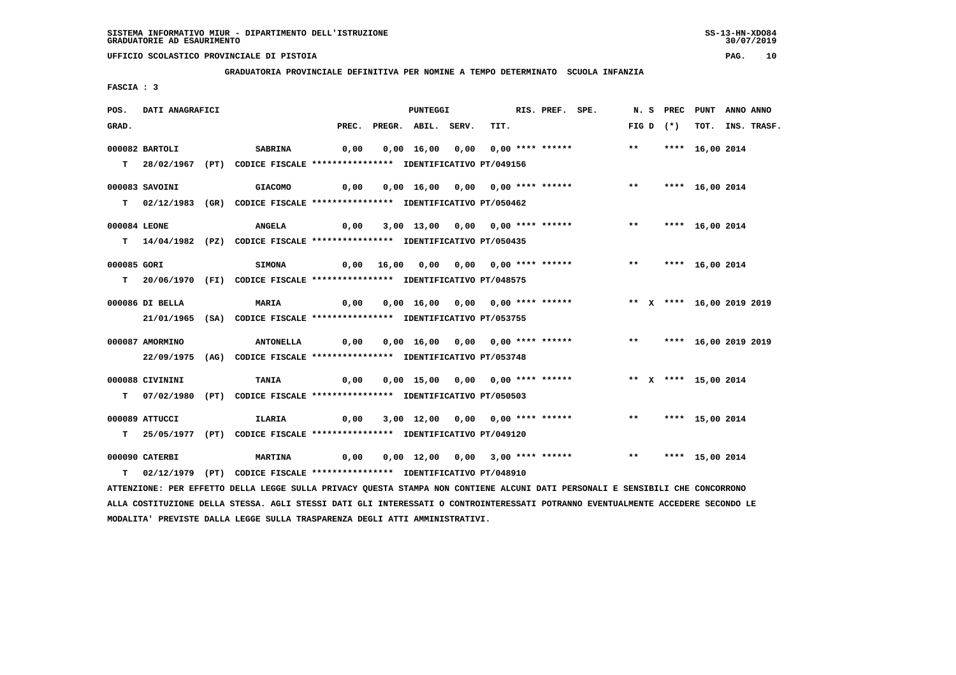**GRADUATORIA PROVINCIALE DEFINITIVA PER NOMINE A TEMPO DETERMINATO SCUOLA INFANZIA**

 **FASCIA : 3**

| POS.        | DATI ANAGRAFICI |                                                                                                                               |      | PUNTEGGI                 |                                       | RIS. PREF. SPE. |                                                                        |               |             | N. S PREC PUNT ANNO ANNO |                  |
|-------------|-----------------|-------------------------------------------------------------------------------------------------------------------------------|------|--------------------------|---------------------------------------|-----------------|------------------------------------------------------------------------|---------------|-------------|--------------------------|------------------|
| GRAD.       |                 |                                                                                                                               |      | PREC. PREGR. ABIL. SERV. | TIT.                                  |                 |                                                                        |               | FIG D $(*)$ |                          | TOT. INS. TRASF. |
|             | 000082 BARTOLI  | <b>SABRINA</b>                                                                                                                | 0,00 |                          | 0,00 16,00 0,00 0,00 **** ******      |                 |                                                                        | $***$         |             | **** 16,00 2014          |                  |
|             |                 |                                                                                                                               |      |                          |                                       |                 |                                                                        |               |             |                          |                  |
|             |                 | T 28/02/1967 (PT) CODICE FISCALE *************** IDENTIFICATIVO PT/049156                                                     |      |                          |                                       |                 |                                                                        |               |             |                          |                  |
|             | 000083 SAVOINI  | <b>GIACOMO</b>                                                                                                                | 0,00 |                          | 0,00 16,00 0,00 0,00 **** ******      |                 |                                                                        | $\star \star$ |             | **** 16,00 2014          |                  |
|             |                 | T 02/12/1983 (GR) CODICE FISCALE *************** IDENTIFICATIVO PT/050462                                                     |      |                          |                                       |                 |                                                                        |               |             |                          |                  |
|             |                 |                                                                                                                               |      |                          |                                       |                 |                                                                        |               |             |                          |                  |
|             | 000084 LEONE    | <b>ANGELA</b>                                                                                                                 |      |                          |                                       |                 | 0,00 3,00 13,00 0,00 0,00 **** ****** *** *** **** 16,00 2014          |               |             |                          |                  |
|             |                 | T 14/04/1982 (PZ) CODICE FISCALE *************** IDENTIFICATIVO PT/050435                                                     |      |                          |                                       |                 |                                                                        |               |             |                          |                  |
|             |                 |                                                                                                                               |      |                          |                                       |                 |                                                                        |               |             |                          |                  |
| 000085 GORI |                 | <b>SIMONA</b>                                                                                                                 |      |                          | 0,00 16,00 0,00 0,00 0,00 **** ****** |                 |                                                                        |               |             | ** **** 16,00 2014       |                  |
|             |                 | T 20/06/1970 (FI) CODICE FISCALE **************** IDENTIFICATIVO PT/048575                                                    |      |                          |                                       |                 |                                                                        |               |             |                          |                  |
|             |                 |                                                                                                                               |      |                          |                                       |                 |                                                                        |               |             |                          |                  |
|             | 000086 DI BELLA | <b>MARIA</b>                                                                                                                  | 0,00 |                          |                                       |                 | 0,00 16,00 0,00 0,00 **** ******             ** X **** 16,00 2019 2019 |               |             |                          |                  |
|             |                 | 21/01/1965 (SA) CODICE FISCALE *************** IDENTIFICATIVO PT/053755                                                       |      |                          |                                       |                 |                                                                        |               |             |                          |                  |
|             |                 |                                                                                                                               |      |                          |                                       |                 |                                                                        |               |             |                          |                  |
|             | 000087 AMORMINO | <b>ANTONELLA</b>                                                                                                              | 0,00 |                          |                                       |                 | 0,00 16,00 0,00 0,00 **** ******                                       |               |             | ** **** 16,00 2019 2019  |                  |
|             |                 | 22/09/1975 (AG) CODICE FISCALE *************** IDENTIFICATIVO PT/053748                                                       |      |                          |                                       |                 |                                                                        |               |             |                          |                  |
|             | 000088 CIVININI | <b>TANIA</b>                                                                                                                  | 0,00 |                          |                                       |                 | 0,00 15,00 0,00 0,00 **** ****** * *** * **** 15,00 2014               |               |             |                          |                  |
|             |                 |                                                                                                                               |      |                          |                                       |                 |                                                                        |               |             |                          |                  |
|             |                 | T 07/02/1980 (PT) CODICE FISCALE *************** IDENTIFICATIVO PT/050503                                                     |      |                          |                                       |                 |                                                                        |               |             |                          |                  |
|             | 000089 ATTUCCI  | ILARIA                                                                                                                        |      |                          |                                       |                 |                                                                        |               |             |                          |                  |
|             |                 | T 25/05/1977 (PT) CODICE FISCALE *************** IDENTIFICATIVO PT/049120                                                     |      |                          |                                       |                 |                                                                        |               |             |                          |                  |
|             |                 |                                                                                                                               |      |                          |                                       |                 |                                                                        |               |             |                          |                  |
|             | 000090 CATERBI  | <b>MARTINA</b>                                                                                                                | 0,00 |                          |                                       |                 | 0,00 12,00 0,00 3,00 **** ****** *** *** **** 15,00 2014               |               |             |                          |                  |
|             |                 | T 02/12/1979 (PT) CODICE FISCALE **************** IDENTIFICATIVO PT/048910                                                    |      |                          |                                       |                 |                                                                        |               |             |                          |                  |
|             |                 | ATTENZIONE: PER EFFETTO DELLA LEGGE SULLA PRIVACY QUESTA STAMPA NON CONTIENE ALCUNI DATI PERSONALI E SENSIBILI CHE CONCORRONO |      |                          |                                       |                 |                                                                        |               |             |                          |                  |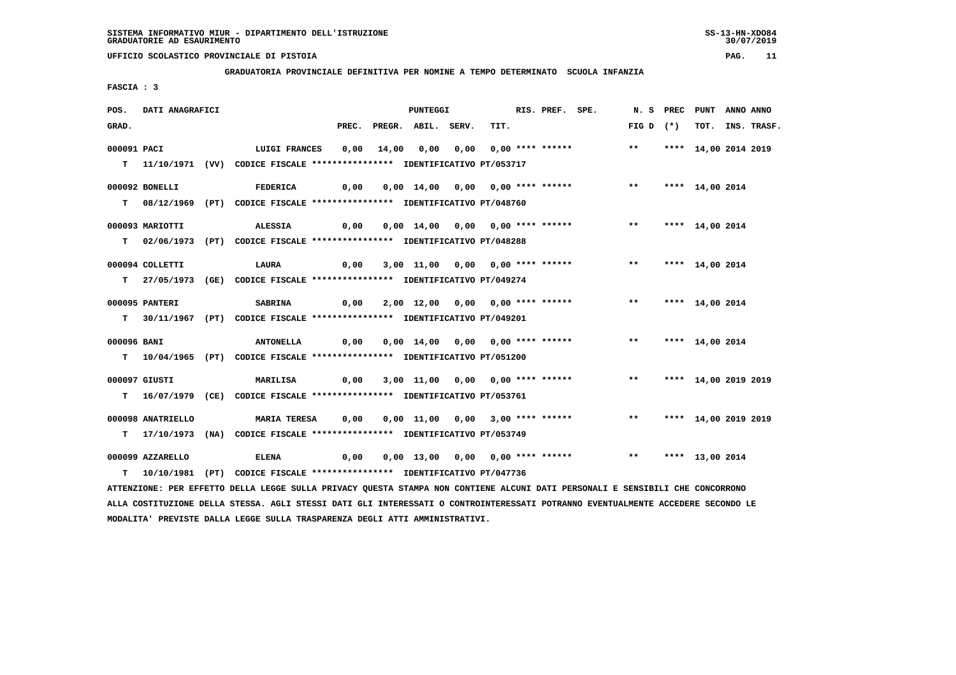**GRADUATORIA PROVINCIALE DEFINITIVA PER NOMINE A TEMPO DETERMINATO SCUOLA INFANZIA**

 **FASCIA : 3**

| POS.        | DATI ANAGRAFICI   |                                                                                                                                 |       | <b>PUNTEGGI</b>                                      |      | RIS. PREF. SPE. |                                  |                    | N. S PREC PUNT ANNO ANNO |                  |
|-------------|-------------------|---------------------------------------------------------------------------------------------------------------------------------|-------|------------------------------------------------------|------|-----------------|----------------------------------|--------------------|--------------------------|------------------|
| GRAD.       |                   |                                                                                                                                 | PREC. | PREGR. ABIL. SERV.                                   | TIT. |                 |                                  | FIG D $(*)$        |                          | TOT. INS. TRASF. |
| 000091 PACI |                   | <b>LUIGI FRANCES</b>                                                                                                            | 0,00  |                                                      |      |                 |                                  | $***$              | **** 14,00 2014 2019     |                  |
|             |                   | T   11/10/1971 (VV)  CODICE FISCALE *************** IDENTIFICATIVO PT/053717                                                    |       |                                                      |      |                 |                                  |                    |                          |                  |
|             |                   |                                                                                                                                 |       |                                                      |      |                 |                                  |                    |                          |                  |
|             | 000092 BONELLI    | <b>FEDERICA</b>                                                                                                                 | 0,00  | 0,00 14,00 0,00 0,00 **** ******                     |      |                 |                                  | $***$              | **** 14,00 2014          |                  |
|             |                   | T 08/12/1969 (PT) CODICE FISCALE **************** IDENTIFICATIVO PT/048760                                                      |       |                                                      |      |                 |                                  |                    |                          |                  |
|             | 000093 MARIOTTI   | <b>ALESSIA</b>                                                                                                                  | 0,00  | 0,00 14,00 0,00 0,00 **** ******                     |      |                 |                                  | $\star\star$       | **** 14,00 2014          |                  |
|             |                   |                                                                                                                                 |       |                                                      |      |                 |                                  |                    |                          |                  |
|             |                   | T 02/06/1973 (PT) CODICE FISCALE *************** IDENTIFICATIVO PT/048288                                                       |       |                                                      |      |                 |                                  |                    |                          |                  |
|             | 000094 COLLETTI   | LAURA                                                                                                                           | 0,00  | 3,00 11,00 0,00 0,00 **** ******                     |      |                 |                                  | $***$              | **** 14,00 2014          |                  |
|             |                   | T 27/05/1973 (GE) CODICE FISCALE **************** IDENTIFICATIVO PT/049274                                                      |       |                                                      |      |                 |                                  |                    |                          |                  |
|             |                   |                                                                                                                                 |       |                                                      |      |                 |                                  |                    |                          |                  |
|             | 000095 PANTERI    | <b>SABRINA</b>                                                                                                                  | 0,00  | 2,00 12,00 0,00 0,00 **** ******                     |      |                 |                                  | $***$              | **** 14,00 2014          |                  |
|             |                   | T 30/11/1967 (PT) CODICE FISCALE *************** IDENTIFICATIVO PT/049201                                                       |       |                                                      |      |                 |                                  |                    |                          |                  |
|             |                   |                                                                                                                                 |       |                                                      |      |                 |                                  |                    |                          |                  |
| 000096 BANI |                   | <b>ANTONELLA</b>                                                                                                                |       | $0,00$ $0,00$ $14,00$ $0,00$ $0,00$ $***$ **** ***** |      |                 |                                  | ** **** 14,00 2014 |                          |                  |
|             |                   | T 10/04/1965 (PT) CODICE FISCALE **************** IDENTIFICATIVO PT/051200                                                      |       |                                                      |      |                 |                                  |                    |                          |                  |
|             | 000097 GIUSTI     | MARILISA                                                                                                                        | 0,00  |                                                      |      |                 | 3,00 11,00 0,00 0,00 **** ****** | $***$              | **** 14,00 2019 2019     |                  |
|             |                   | T 16/07/1979 (CE) CODICE FISCALE **************** IDENTIFICATIVO PT/053761                                                      |       |                                                      |      |                 |                                  |                    |                          |                  |
|             |                   |                                                                                                                                 |       |                                                      |      |                 |                                  |                    |                          |                  |
|             | 000098 ANATRIELLO | <b>MARIA TERESA</b>                                                                                                             | 0,00  | 0,00 11,00 0,00 3,00 **** ******                     |      |                 |                                  | $***$              | **** 14,00 2019 2019     |                  |
|             |                   | T 17/10/1973 (NA) CODICE FISCALE **************** IDENTIFICATIVO PT/053749                                                      |       |                                                      |      |                 |                                  |                    |                          |                  |
|             |                   |                                                                                                                                 |       |                                                      |      |                 |                                  | ** **** 13,00 2014 |                          |                  |
|             | 000099 AZZARELLO  | <b>ELENA</b>                                                                                                                    | 0,00  |                                                      |      |                 | 0,00 13,00 0,00 0,00 **** ****** |                    |                          |                  |
|             |                   | T 10/10/1981 (PT) CODICE FISCALE *************** IDENTIFICATIVO PT/047736                                                       |       |                                                      |      |                 |                                  |                    |                          |                  |
|             |                   | ATTENZIONE: PER EFFETTO DELLA LEGGE SULLA PRIVACY QUESTA STAMPA NON CONTIENE ALCUNI DATI PERSONALI E SENSIBILI CHE CONCORRONO   |       |                                                      |      |                 |                                  |                    |                          |                  |
|             |                   | ALLA COSTITUZIONE DELLA STESSA. AGLI STESSI DATI GLI INTERESSATI O CONTROINTERESSATI POTRANNO EVENTUALMENTE ACCEDERE SECONDO LE |       |                                                      |      |                 |                                  |                    |                          |                  |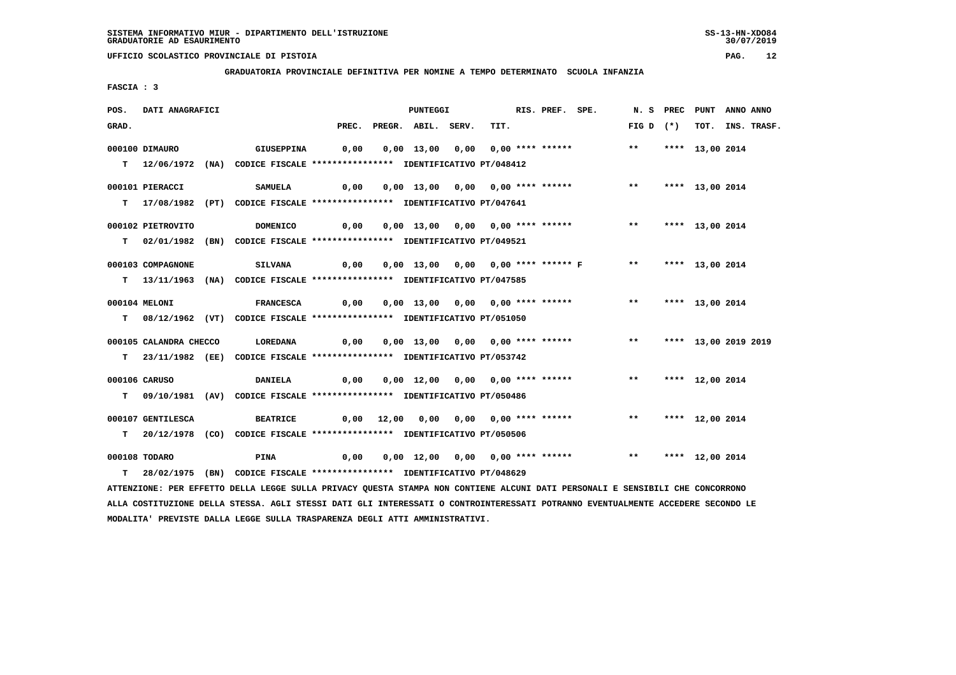**GRADUATORIA PROVINCIALE DEFINITIVA PER NOMINE A TEMPO DETERMINATO SCUOLA INFANZIA**

 **FASCIA : 3**

| PREC. PREGR. ABIL. SERV.<br>TIT.<br>FIG D $(*)$<br>TOT. INS. TRASF.<br>GRAD.<br>$***$<br>000100 DIMAURO<br>GIUSEPPINA<br>0,00<br>0,00 13,00 0,00 0,00 **** ******<br>**** 13,00 2014<br>T 12/06/1972 (NA) CODICE FISCALE *************** IDENTIFICATIVO PT/048412<br>0,00<br>0,00 13,00 0,00 0,00 **** ******<br>$***$<br>**** 13,00 2014<br>000101 PIERACCI<br><b>SAMUELA</b><br>T 17/08/1982 (PT) CODICE FISCALE *************** IDENTIFICATIVO PT/047641<br>0,00<br>0,00 13,00 0,00 0,00 **** ****** *** **<br>000102 PIETROVITO<br><b>DOMENICO</b><br>**** 13,00 2014<br>T 02/01/1982 (BN) CODICE FISCALE *************** IDENTIFICATIVO PT/049521 | ANNO ANNO |
|--------------------------------------------------------------------------------------------------------------------------------------------------------------------------------------------------------------------------------------------------------------------------------------------------------------------------------------------------------------------------------------------------------------------------------------------------------------------------------------------------------------------------------------------------------------------------------------------------------------------------------------------------------|-----------|
|                                                                                                                                                                                                                                                                                                                                                                                                                                                                                                                                                                                                                                                        |           |
|                                                                                                                                                                                                                                                                                                                                                                                                                                                                                                                                                                                                                                                        |           |
|                                                                                                                                                                                                                                                                                                                                                                                                                                                                                                                                                                                                                                                        |           |
|                                                                                                                                                                                                                                                                                                                                                                                                                                                                                                                                                                                                                                                        |           |
|                                                                                                                                                                                                                                                                                                                                                                                                                                                                                                                                                                                                                                                        |           |
|                                                                                                                                                                                                                                                                                                                                                                                                                                                                                                                                                                                                                                                        |           |
|                                                                                                                                                                                                                                                                                                                                                                                                                                                                                                                                                                                                                                                        |           |
|                                                                                                                                                                                                                                                                                                                                                                                                                                                                                                                                                                                                                                                        |           |
|                                                                                                                                                                                                                                                                                                                                                                                                                                                                                                                                                                                                                                                        |           |
|                                                                                                                                                                                                                                                                                                                                                                                                                                                                                                                                                                                                                                                        |           |
| 0,00 13,00 0,00 0,00 **** ****** F ** **** 13,00 2014<br>000103 COMPAGNONE<br><b>SILVANA</b><br>0,00                                                                                                                                                                                                                                                                                                                                                                                                                                                                                                                                                   |           |
| T 13/11/1963 (NA) CODICE FISCALE *************** IDENTIFICATIVO PT/047585                                                                                                                                                                                                                                                                                                                                                                                                                                                                                                                                                                              |           |
|                                                                                                                                                                                                                                                                                                                                                                                                                                                                                                                                                                                                                                                        |           |
| 000104 MELONI<br>0,00<br>0,00 13,00 0,00 0,00 **** ******<br>$***$<br>**** 13,00 2014<br><b>FRANCESCA</b>                                                                                                                                                                                                                                                                                                                                                                                                                                                                                                                                              |           |
| T 08/12/1962 (VT) CODICE FISCALE *************** IDENTIFICATIVO PT/051050                                                                                                                                                                                                                                                                                                                                                                                                                                                                                                                                                                              |           |
| 0,00 13,00 0,00 0,00 **** ******<br>$***$<br>000105 CALANDRA CHECCO<br>LOREDANA<br>0,00<br>**** 13,00 2019 2019                                                                                                                                                                                                                                                                                                                                                                                                                                                                                                                                        |           |
| T 23/11/1982 (EE) CODICE FISCALE **************** IDENTIFICATIVO PT/053742                                                                                                                                                                                                                                                                                                                                                                                                                                                                                                                                                                             |           |
|                                                                                                                                                                                                                                                                                                                                                                                                                                                                                                                                                                                                                                                        |           |
| 000106 CARUSO<br><b>DANIELA</b><br>0,00<br>0,00 12,00 0,00 0,00 **** ******<br>** **** 12,00 2014                                                                                                                                                                                                                                                                                                                                                                                                                                                                                                                                                      |           |
| T 09/10/1981 (AV) CODICE FISCALE *************** IDENTIFICATIVO PT/050486                                                                                                                                                                                                                                                                                                                                                                                                                                                                                                                                                                              |           |
|                                                                                                                                                                                                                                                                                                                                                                                                                                                                                                                                                                                                                                                        |           |
| 000107 GENTILESCA<br><b>BEATRICE</b><br>0,00 12,00 0,00 0,00 0,00 **** ******<br>$***$<br>**** 12,00 2014                                                                                                                                                                                                                                                                                                                                                                                                                                                                                                                                              |           |
| T  20/12/1978 (CO) CODICE FISCALE *************** IDENTIFICATIVO PT/050506                                                                                                                                                                                                                                                                                                                                                                                                                                                                                                                                                                             |           |
|                                                                                                                                                                                                                                                                                                                                                                                                                                                                                                                                                                                                                                                        |           |
| ** **** 12,00 2014<br>000108 TODARO<br>PINA<br>0,00<br>0,00 12,00 0,00 0,00 **** ******                                                                                                                                                                                                                                                                                                                                                                                                                                                                                                                                                                |           |
| T 28/02/1975 (BN) CODICE FISCALE **************** IDENTIFICATIVO PT/048629                                                                                                                                                                                                                                                                                                                                                                                                                                                                                                                                                                             |           |
| ATTENZIONE: PER EFFETTO DELLA LEGGE SULLA PRIVACY QUESTA STAMPA NON CONTIENE ALCUNI DATI PERSONALI E SENSIBILI CHE CONCORRONO                                                                                                                                                                                                                                                                                                                                                                                                                                                                                                                          |           |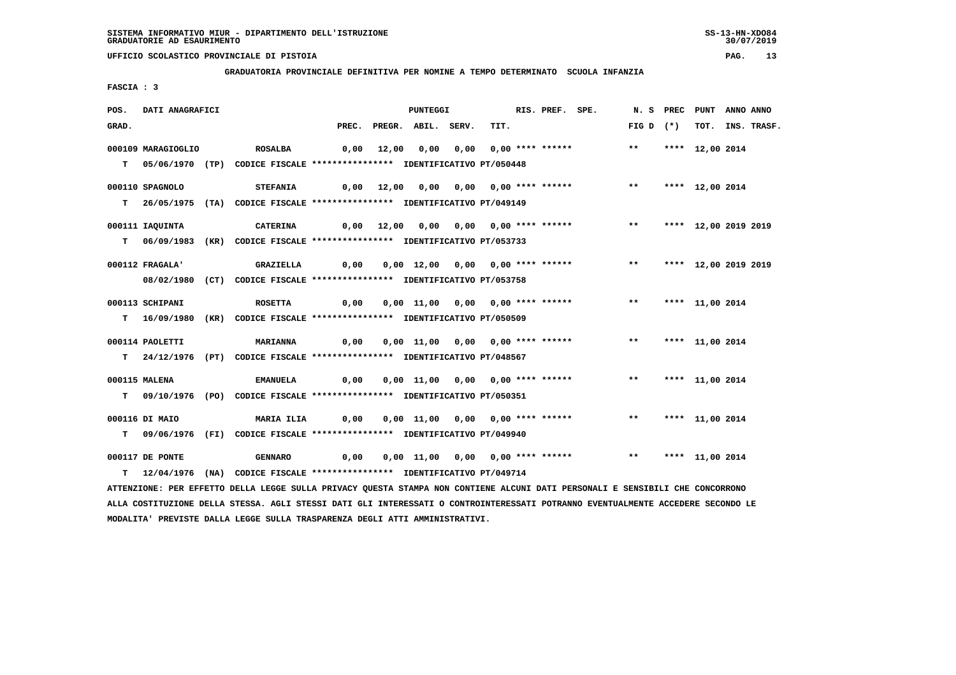**GRADUATORIA PROVINCIALE DEFINITIVA PER NOMINE A TEMPO DETERMINATO SCUOLA INFANZIA**

 **FASCIA : 3**

| POS.                                                                                                                          | DATI ANAGRAFICI    |  |                                                                           | PUNTEGGI |            |                          |  | RIS. PREF. SPE.                       |  |  | N. S PREC PUNT ANNO ANNO                                           |                         |                 |  |                  |
|-------------------------------------------------------------------------------------------------------------------------------|--------------------|--|---------------------------------------------------------------------------|----------|------------|--------------------------|--|---------------------------------------|--|--|--------------------------------------------------------------------|-------------------------|-----------------|--|------------------|
| GRAD.                                                                                                                         |                    |  |                                                                           |          |            | PREC. PREGR. ABIL. SERV. |  | TIT.                                  |  |  |                                                                    | FIG D $(*)$             |                 |  | TOT. INS. TRASF. |
|                                                                                                                               | 000109 MARAGIOGLIO |  | <b>ROSALBA</b>                                                            |          |            |                          |  | 0,00 12,00 0,00 0,00 0,00 **** ****** |  |  |                                                                    | $***$                   | **** 12,00 2014 |  |                  |
|                                                                                                                               |                    |  |                                                                           |          |            |                          |  |                                       |  |  |                                                                    |                         |                 |  |                  |
|                                                                                                                               |                    |  | T 05/06/1970 (TP) CODICE FISCALE *************** IDENTIFICATIVO PT/050448 |          |            |                          |  |                                       |  |  |                                                                    |                         |                 |  |                  |
|                                                                                                                               | 000110 SPAGNOLO    |  | <b>STEFANIA</b>                                                           |          | 0,00 12,00 |                          |  |                                       |  |  |                                                                    | $***$                   | **** 12,00 2014 |  |                  |
|                                                                                                                               |                    |  | T 26/05/1975 (TA) CODICE FISCALE *************** IDENTIFICATIVO PT/049149 |          |            |                          |  |                                       |  |  |                                                                    |                         |                 |  |                  |
|                                                                                                                               |                    |  |                                                                           |          |            |                          |  |                                       |  |  |                                                                    |                         |                 |  |                  |
|                                                                                                                               | 000111 IAQUINTA    |  | <b>CATERINA</b>                                                           |          |            |                          |  |                                       |  |  | 0,00 12,00 0,00 0,00 0,00 **** ******                              | ** **** 12,00 2019 2019 |                 |  |                  |
|                                                                                                                               |                    |  | T 06/09/1983 (KR) CODICE FISCALE *************** IDENTIFICATIVO PT/053733 |          |            |                          |  |                                       |  |  |                                                                    |                         |                 |  |                  |
|                                                                                                                               |                    |  |                                                                           |          |            |                          |  |                                       |  |  |                                                                    |                         |                 |  |                  |
|                                                                                                                               | 000112 FRAGALA'    |  | GRAZIELLA                                                                 |          |            |                          |  |                                       |  |  | 0,00 0,00 12,00 0,00 0,00 **** ****** *** *** **** 12,00 2019 2019 |                         |                 |  |                  |
|                                                                                                                               |                    |  | 08/02/1980 (CT) CODICE FISCALE *************** IDENTIFICATIVO PT/053758   |          |            |                          |  |                                       |  |  |                                                                    |                         |                 |  |                  |
|                                                                                                                               |                    |  |                                                                           |          |            |                          |  |                                       |  |  |                                                                    |                         |                 |  |                  |
|                                                                                                                               | 000113 SCHIPANI    |  | <b>ROSETTA</b>                                                            |          |            |                          |  |                                       |  |  |                                                                    |                         |                 |  |                  |
|                                                                                                                               |                    |  | T 16/09/1980 (KR) CODICE FISCALE *************** IDENTIFICATIVO PT/050509 |          |            |                          |  |                                       |  |  |                                                                    |                         |                 |  |                  |
|                                                                                                                               | 000114 PAOLETTI    |  | <b>MARIANNA</b>                                                           | 0,00     |            |                          |  |                                       |  |  | 0,00 11,00 0,00 0,00 **** ******                                   | $***$                   | **** 11,00 2014 |  |                  |
|                                                                                                                               |                    |  |                                                                           |          |            |                          |  |                                       |  |  |                                                                    |                         |                 |  |                  |
|                                                                                                                               |                    |  | T 24/12/1976 (PT) CODICE FISCALE *************** IDENTIFICATIVO PT/048567 |          |            |                          |  |                                       |  |  |                                                                    |                         |                 |  |                  |
|                                                                                                                               | 000115 MALENA      |  | <b>EMANUELA</b>                                                           | 0,00     |            |                          |  | 0,00 11,00 0,00 0,00 **** ******      |  |  |                                                                    | $***$                   | **** 11,00 2014 |  |                  |
|                                                                                                                               |                    |  | T 09/10/1976 (PO) CODICE FISCALE *************** IDENTIFICATIVO PT/050351 |          |            |                          |  |                                       |  |  |                                                                    |                         |                 |  |                  |
|                                                                                                                               |                    |  |                                                                           |          |            |                          |  |                                       |  |  |                                                                    |                         |                 |  |                  |
|                                                                                                                               | 000116 DI MAIO     |  | <b>MARIA ILIA</b>                                                         |          |            |                          |  |                                       |  |  | $0,00$ $0,00$ $11,00$ $0,00$ $0,00$ $***$ **** ******              | ** **** 11,00 2014      |                 |  |                  |
|                                                                                                                               |                    |  | T 09/06/1976 (FI) CODICE FISCALE *************** IDENTIFICATIVO PT/049940 |          |            |                          |  |                                       |  |  |                                                                    |                         |                 |  |                  |
|                                                                                                                               |                    |  |                                                                           |          |            |                          |  |                                       |  |  |                                                                    |                         |                 |  |                  |
|                                                                                                                               | 000117 DE PONTE    |  | <b>GENNARO</b>                                                            |          |            |                          |  |                                       |  |  |                                                                    |                         |                 |  |                  |
|                                                                                                                               |                    |  | T 12/04/1976 (NA) CODICE FISCALE *************** IDENTIFICATIVO PT/049714 |          |            |                          |  |                                       |  |  |                                                                    |                         |                 |  |                  |
| ATTENZIONE: PER EFFETTO DELLA LEGGE SULLA PRIVACY QUESTA STAMPA NON CONTIENE ALCUNI DATI PERSONALI E SENSIBILI CHE CONCORRONO |                    |  |                                                                           |          |            |                          |  |                                       |  |  |                                                                    |                         |                 |  |                  |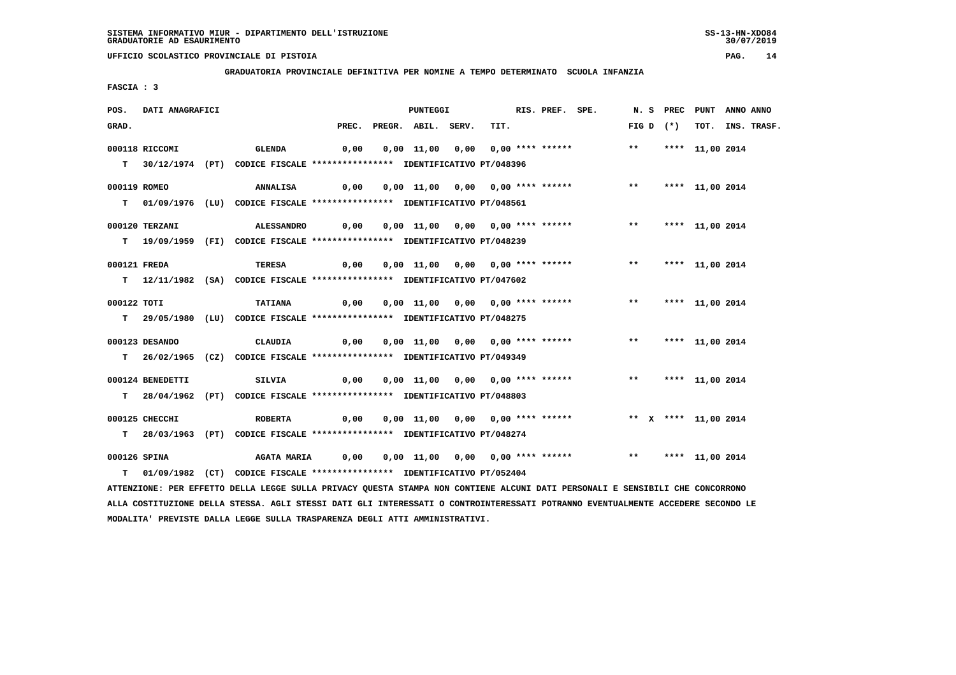**GRADUATORIA PROVINCIALE DEFINITIVA PER NOMINE A TEMPO DETERMINATO SCUOLA INFANZIA**

 **FASCIA : 3**

| POS.                                                                                                                          | DATI ANAGRAFICI  |  |                                                                            | PUNTEGGI |  |                          | RIS. PREF. SPE. |                                  |  |  |                                                            | N. S PREC PUNT ANNO ANNO |             |                    |                  |
|-------------------------------------------------------------------------------------------------------------------------------|------------------|--|----------------------------------------------------------------------------|----------|--|--------------------------|-----------------|----------------------------------|--|--|------------------------------------------------------------|--------------------------|-------------|--------------------|------------------|
| GRAD.                                                                                                                         |                  |  |                                                                            |          |  | PREC. PREGR. ABIL. SERV. |                 | TIT.                             |  |  |                                                            |                          | FIG D $(*)$ |                    | TOT. INS. TRASF. |
|                                                                                                                               | 000118 RICCOMI   |  | <b>GLENDA</b>                                                              | 0,00     |  |                          |                 | 0,00 11,00 0,00 0,00 **** ****** |  |  |                                                            |                          |             | ** **** 11,00 2014 |                  |
|                                                                                                                               |                  |  |                                                                            |          |  |                          |                 |                                  |  |  |                                                            |                          |             |                    |                  |
|                                                                                                                               |                  |  | T 30/12/1974 (PT) CODICE FISCALE *************** IDENTIFICATIVO PT/048396  |          |  |                          |                 |                                  |  |  |                                                            |                          |             |                    |                  |
| 000119 ROMEO                                                                                                                  |                  |  | <b>ANNALISA</b>                                                            | 0,00     |  |                          |                 | 0,00 11,00 0,00 0,00 **** ****** |  |  |                                                            | $\star\star$             |             | **** 11,00 2014    |                  |
|                                                                                                                               |                  |  | T 01/09/1976 (LU) CODICE FISCALE *************** IDENTIFICATIVO PT/048561  |          |  |                          |                 |                                  |  |  |                                                            |                          |             |                    |                  |
|                                                                                                                               |                  |  |                                                                            |          |  |                          |                 |                                  |  |  |                                                            |                          |             |                    |                  |
|                                                                                                                               | 000120 TERZANI   |  | <b>ALESSANDRO</b>                                                          |          |  |                          |                 |                                  |  |  |                                                            |                          |             |                    |                  |
|                                                                                                                               |                  |  | T 19/09/1959 (FI) CODICE FISCALE **************** IDENTIFICATIVO PT/048239 |          |  |                          |                 |                                  |  |  |                                                            |                          |             |                    |                  |
|                                                                                                                               |                  |  |                                                                            |          |  |                          |                 |                                  |  |  |                                                            |                          |             |                    |                  |
| 000121 FREDA                                                                                                                  |                  |  | TERESA                                                                     | 0,00     |  |                          |                 | 0,00 11,00 0,00 0,00 **** ****** |  |  |                                                            |                          |             | ** **** 11,00 2014 |                  |
|                                                                                                                               |                  |  | T 12/11/1982 (SA) CODICE FISCALE *************** IDENTIFICATIVO PT/047602  |          |  |                          |                 |                                  |  |  |                                                            |                          |             |                    |                  |
| 000122 TOTI                                                                                                                   |                  |  | <b>TATIANA</b>                                                             | 0,00     |  |                          |                 |                                  |  |  | 0,00 11,00 0,00 0,00 **** ****** *** **                    |                          |             | **** 11,00 2014    |                  |
|                                                                                                                               |                  |  | T 29/05/1980 (LU) CODICE FISCALE **************** IDENTIFICATIVO PT/048275 |          |  |                          |                 |                                  |  |  |                                                            |                          |             |                    |                  |
|                                                                                                                               |                  |  |                                                                            |          |  |                          |                 |                                  |  |  |                                                            |                          |             |                    |                  |
|                                                                                                                               | 000123 DESANDO   |  | CLAUDIA                                                                    | 0,00     |  |                          |                 | 0,00 11,00 0,00 0,00 **** ****** |  |  |                                                            | $***$                    |             | **** 11,00 2014    |                  |
|                                                                                                                               |                  |  | T 26/02/1965 (CZ) CODICE FISCALE *************** IDENTIFICATIVO PT/049349  |          |  |                          |                 |                                  |  |  |                                                            |                          |             |                    |                  |
|                                                                                                                               |                  |  |                                                                            |          |  |                          |                 |                                  |  |  |                                                            |                          |             |                    |                  |
|                                                                                                                               | 000124 BENEDETTI |  | SILVIA                                                                     |          |  |                          |                 |                                  |  |  |                                                            |                          |             | ** **** 11,00 2014 |                  |
|                                                                                                                               |                  |  | T 28/04/1962 (PT) CODICE FISCALE **************** IDENTIFICATIVO PT/048803 |          |  |                          |                 |                                  |  |  |                                                            |                          |             |                    |                  |
|                                                                                                                               |                  |  |                                                                            |          |  |                          |                 |                                  |  |  |                                                            |                          |             |                    |                  |
|                                                                                                                               | 000125 CHECCHI   |  | <b>ROBERTA</b>                                                             | 0,00     |  |                          |                 |                                  |  |  | 0,00 11,00 0,00 0,00 **** ****** *** ** ** **** 11,00 2014 |                          |             |                    |                  |
|                                                                                                                               |                  |  | T 28/03/1963 (PT) CODICE FISCALE **************** IDENTIFICATIVO PT/048274 |          |  |                          |                 |                                  |  |  |                                                            |                          |             |                    |                  |
| 000126 SPINA                                                                                                                  |                  |  | <b>AGATA MARIA</b>                                                         | 0,00     |  |                          |                 | 0,00 11,00 0,00 0,00 **** ****** |  |  |                                                            |                          |             | ** **** 11,00 2014 |                  |
|                                                                                                                               |                  |  | T 01/09/1982 (CT) CODICE FISCALE *************** IDENTIFICATIVO PT/052404  |          |  |                          |                 |                                  |  |  |                                                            |                          |             |                    |                  |
| ATTENZIONE: PER EFFETTO DELLA LEGGE SULLA PRIVACY QUESTA STAMPA NON CONTIENE ALCUNI DATI PERSONALI E SENSIBILI CHE CONCORRONO |                  |  |                                                                            |          |  |                          |                 |                                  |  |  |                                                            |                          |             |                    |                  |
|                                                                                                                               |                  |  |                                                                            |          |  |                          |                 |                                  |  |  |                                                            |                          |             |                    |                  |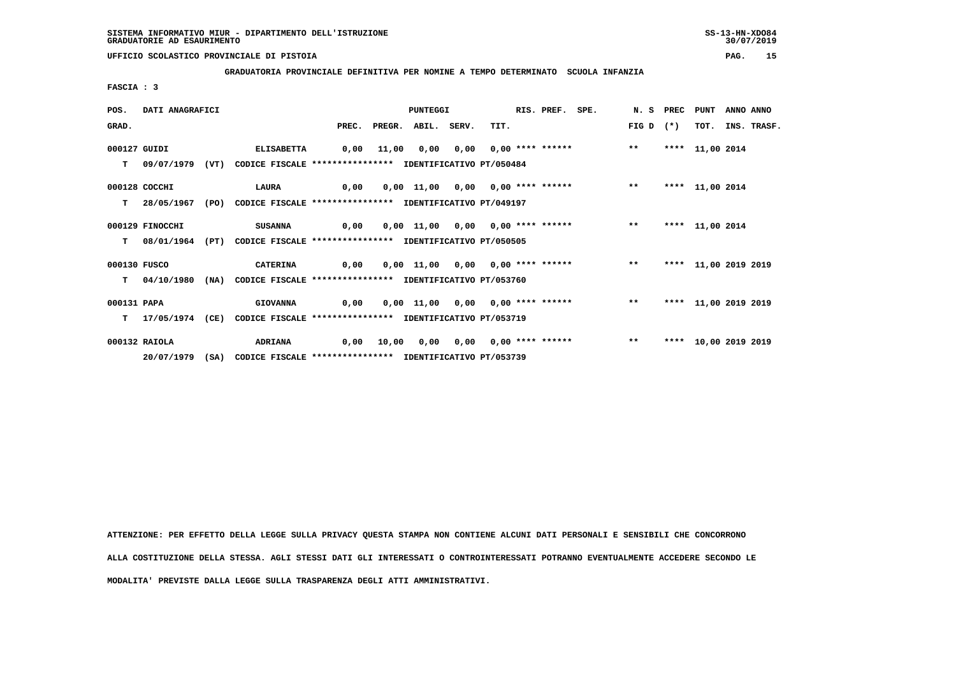**GRADUATORIA PROVINCIALE DEFINITIVA PER NOMINE A TEMPO DETERMINATO SCUOLA INFANZIA**

 **FASCIA : 3**

| POS.         | DATI ANAGRAFICI |      |                                                                           |      | PUNTEGGI |                          |  |                                           |  | RIS. PREF. SPE. |       | N. S PREC PUNT |                      | ANNO ANNO |             |
|--------------|-----------------|------|---------------------------------------------------------------------------|------|----------|--------------------------|--|-------------------------------------------|--|-----------------|-------|----------------|----------------------|-----------|-------------|
| GRAD.        |                 |      |                                                                           |      |          | PREC. PREGR. ABIL. SERV. |  | TIT.                                      |  |                 | FIG D | $(*)$          | TOT.                 |           | INS. TRASF. |
| 000127 GUIDI |                 |      | <b>ELISABETTA</b>                                                         |      |          |                          |  | 0,00 11,00 0,00 0,00 0,00 **** ******     |  |                 | $* *$ |                | **** 11,00 2014      |           |             |
| т            | 09/07/1979      | (VT) | CODICE FISCALE **************** IDENTIFICATIVO PT/050484                  |      |          |                          |  |                                           |  |                 |       |                |                      |           |             |
|              | 000128 COCCHI   |      | LAURA                                                                     | 0,00 |          |                          |  | $0,00$ 11,00 0,00 0,00 **** ****** *** ** |  |                 |       |                | **** 11,00 2014      |           |             |
| T.           | 28/05/1967      |      | (PO) CODICE FISCALE *************** IDENTIFICATIVO PT/049197              |      |          |                          |  |                                           |  |                 |       |                |                      |           |             |
|              | 000129 FINOCCHI |      | SUSANNA                                                                   | 0,00 |          |                          |  | 0,00 11,00 0,00 0,00 **** ******          |  |                 | $***$ |                | **** 11,00 2014      |           |             |
| T.           | 08/01/1964      | (PT) | CODICE FISCALE **************** IDENTIFICATIVO PT/050505                  |      |          |                          |  |                                           |  |                 |       |                |                      |           |             |
| 000130 FUSCO |                 |      | <b>CATERINA</b>                                                           | 0,00 |          |                          |  | $0,00$ 11,00 0,00 0,00 **** ****** *** ** |  |                 |       |                | **** 11,00 2019 2019 |           |             |
|              |                 |      | T 04/10/1980 (NA) CODICE FISCALE *************** IDENTIFICATIVO PT/053760 |      |          |                          |  |                                           |  |                 |       |                |                      |           |             |
| 000131 PAPA  |                 |      | <b>GIOVANNA</b>                                                           | 0,00 |          |                          |  | 0,00 11,00 0,00 0,00 **** ******          |  |                 | $***$ |                | **** 11,00 2019 2019 |           |             |
| т            | 17/05/1974 (CE) |      | CODICE FISCALE **************** IDENTIFICATIVO PT/053719                  |      |          |                          |  |                                           |  |                 |       |                |                      |           |             |
|              | 000132 RAIOLA   |      | <b>ADRIANA</b>                                                            |      |          |                          |  | 0,00 10,00 0,00 0,00 0,00 **** ******     |  |                 | $***$ |                | **** 10,00 2019 2019 |           |             |
|              |                 |      | 20/07/1979 (SA) CODICE FISCALE *************** IDENTIFICATIVO PT/053739   |      |          |                          |  |                                           |  |                 |       |                |                      |           |             |

 **ATTENZIONE: PER EFFETTO DELLA LEGGE SULLA PRIVACY QUESTA STAMPA NON CONTIENE ALCUNI DATI PERSONALI E SENSIBILI CHE CONCORRONO ALLA COSTITUZIONE DELLA STESSA. AGLI STESSI DATI GLI INTERESSATI O CONTROINTERESSATI POTRANNO EVENTUALMENTE ACCEDERE SECONDO LE MODALITA' PREVISTE DALLA LEGGE SULLA TRASPARENZA DEGLI ATTI AMMINISTRATIVI.**